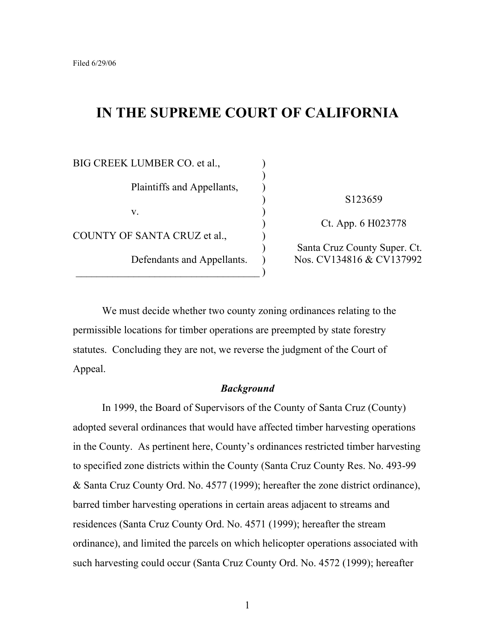# **IN THE SUPREME COURT OF CALIFORNIA**

)

BIG CREEK LUMBER CO. et al., Plaintiffs and Appellants, )  $\mathbf{v}$ .  $\qquad \qquad$  ) COUNTY OF SANTA CRUZ et al., )  $\qquad \qquad )$ 

) S123659

) Ct. App. 6 H023778

) Santa Cruz County Super. Ct. Defendants and Appellants. ) Nos. CV134816 & CV137992

We must decide whether two county zoning ordinances relating to the permissible locations for timber operations are preempted by state forestry statutes. Concluding they are not, we reverse the judgment of the Court of Appeal.

#### *Background*

In 1999, the Board of Supervisors of the County of Santa Cruz (County) adopted several ordinances that would have affected timber harvesting operations in the County. As pertinent here, County's ordinances restricted timber harvesting to specified zone districts within the County (Santa Cruz County Res. No. 493-99 & Santa Cruz County Ord. No. 4577 (1999); hereafter the zone district ordinance), barred timber harvesting operations in certain areas adjacent to streams and residences (Santa Cruz County Ord. No. 4571 (1999); hereafter the stream ordinance), and limited the parcels on which helicopter operations associated with such harvesting could occur (Santa Cruz County Ord. No. 4572 (1999); hereafter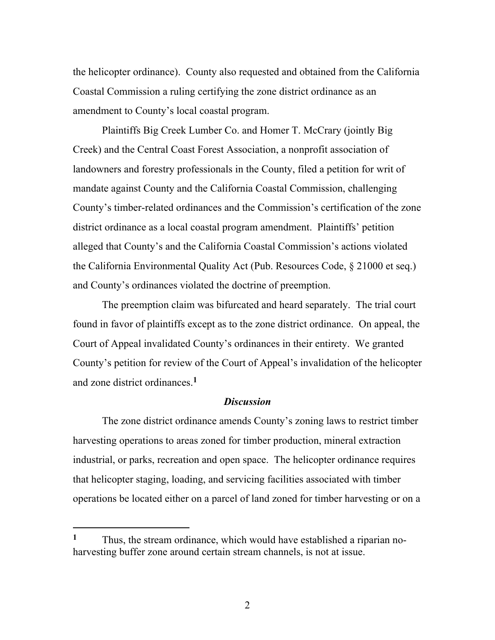the helicopter ordinance). County also requested and obtained from the California Coastal Commission a ruling certifying the zone district ordinance as an amendment to County's local coastal program.

Plaintiffs Big Creek Lumber Co. and Homer T. McCrary (jointly Big Creek) and the Central Coast Forest Association, a nonprofit association of landowners and forestry professionals in the County, filed a petition for writ of mandate against County and the California Coastal Commission, challenging County's timber-related ordinances and the Commission's certification of the zone district ordinance as a local coastal program amendment. Plaintiffs' petition alleged that County's and the California Coastal Commission's actions violated the California Environmental Quality Act (Pub. Resources Code, § 21000 et seq.) and County's ordinances violated the doctrine of preemption.

The preemption claim was bifurcated and heard separately. The trial court found in favor of plaintiffs except as to the zone district ordinance. On appeal, the Court of Appeal invalidated County's ordinances in their entirety. We granted County's petition for review of the Court of Appeal's invalidation of the helicopter and zone district ordinances.**<sup>1</sup>**

#### *Discussion*

The zone district ordinance amends County's zoning laws to restrict timber harvesting operations to areas zoned for timber production, mineral extraction industrial, or parks, recreation and open space. The helicopter ordinance requires that helicopter staging, loading, and servicing facilities associated with timber operations be located either on a parcel of land zoned for timber harvesting or on a

**<sup>1</sup>** Thus, the stream ordinance, which would have established a riparian noharvesting buffer zone around certain stream channels, is not at issue.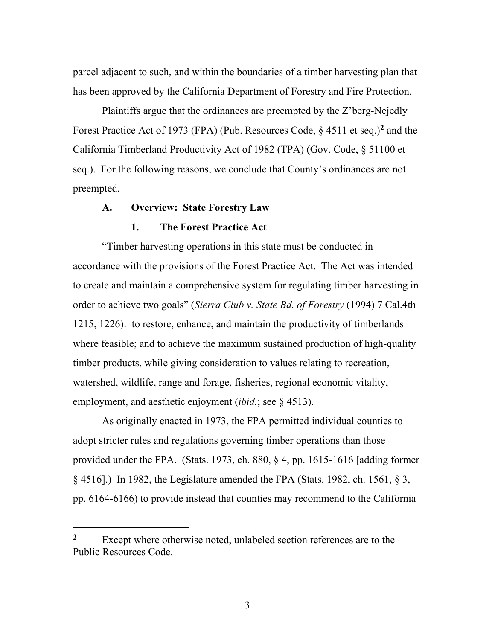parcel adjacent to such, and within the boundaries of a timber harvesting plan that has been approved by the California Department of Forestry and Fire Protection.

Plaintiffs argue that the ordinances are preempted by the Z'berg-Nejedly Forest Practice Act of 1973 (FPA) (Pub. Resources Code, § 4511 et seq.)**<sup>2</sup>** and the California Timberland Productivity Act of 1982 (TPA) (Gov. Code, § 51100 et seq.). For the following reasons, we conclude that County's ordinances are not preempted.

#### **A. Overview: State Forestry Law**

#### **1. The Forest Practice Act**

"Timber harvesting operations in this state must be conducted in accordance with the provisions of the Forest Practice Act. The Act was intended to create and maintain a comprehensive system for regulating timber harvesting in order to achieve two goals" (*Sierra Club v. State Bd. of Forestry* (1994) 7 Cal.4th 1215, 1226): to restore, enhance, and maintain the productivity of timberlands where feasible; and to achieve the maximum sustained production of high-quality timber products, while giving consideration to values relating to recreation, watershed, wildlife, range and forage, fisheries, regional economic vitality, employment, and aesthetic enjoyment (*ibid.*; see § 4513).

As originally enacted in 1973, the FPA permitted individual counties to adopt stricter rules and regulations governing timber operations than those provided under the FPA. (Stats. 1973, ch. 880, § 4, pp. 1615-1616 [adding former § 4516].) In 1982, the Legislature amended the FPA (Stats. 1982, ch. 1561, § 3, pp. 6164-6166) to provide instead that counties may recommend to the California

<sup>&</sup>lt;sup>2</sup> Except where otherwise noted, unlabeled section references are to the Public Resources Code.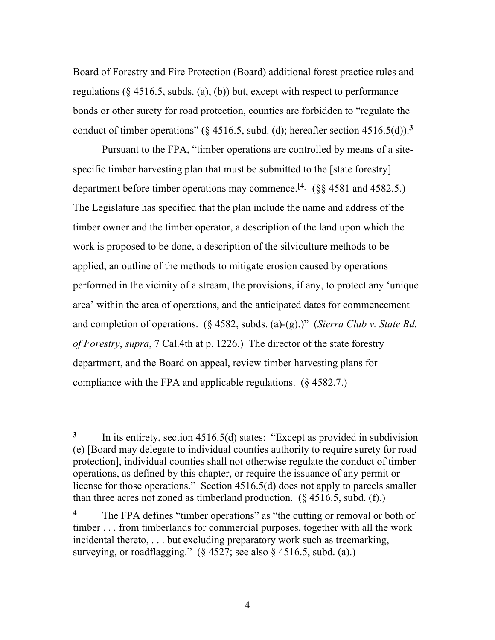Board of Forestry and Fire Protection (Board) additional forest practice rules and regulations  $(\S 4516.5, \text{subds})$ . (a), (b)) but, except with respect to performance bonds or other surety for road protection, counties are forbidden to "regulate the conduct of timber operations" ( $\S$  4516.5, subd. (d); hereafter section 4516.5(d)).<sup>3</sup>

Pursuant to the FPA, "timber operations are controlled by means of a sitespecific timber harvesting plan that must be submitted to the [state forestry] department before timber operations may commence.[**4**] (§§ 4581 and 4582.5.) The Legislature has specified that the plan include the name and address of the timber owner and the timber operator, a description of the land upon which the work is proposed to be done, a description of the silviculture methods to be applied, an outline of the methods to mitigate erosion caused by operations performed in the vicinity of a stream, the provisions, if any, to protect any 'unique area' within the area of operations, and the anticipated dates for commencement and completion of operations. (§ 4582, subds. (a)-(g).)" (*Sierra Club v. State Bd. of Forestry*, *supra*, 7 Cal.4th at p. 1226.) The director of the state forestry department, and the Board on appeal, review timber harvesting plans for compliance with the FPA and applicable regulations. (§ 4582.7.)

l

**<sup>3</sup>** In its entirety, section 4516.5(d) states: "Except as provided in subdivision (e) [Board may delegate to individual counties authority to require surety for road protection], individual counties shall not otherwise regulate the conduct of timber operations, as defined by this chapter, or require the issuance of any permit or license for those operations." Section 4516.5(d) does not apply to parcels smaller than three acres not zoned as timberland production.  $(\S 4516.5, \text{subd.}(\text{f.}))$ 

<sup>&</sup>lt;sup>4</sup> The FPA defines "timber operations" as "the cutting or removal or both of timber . . . from timberlands for commercial purposes, together with all the work incidental thereto, . . . but excluding preparatory work such as treemarking, surveying, or roadflagging."  $(\S 4527)$ ; see also  $\S 4516.5$ , subd. (a).)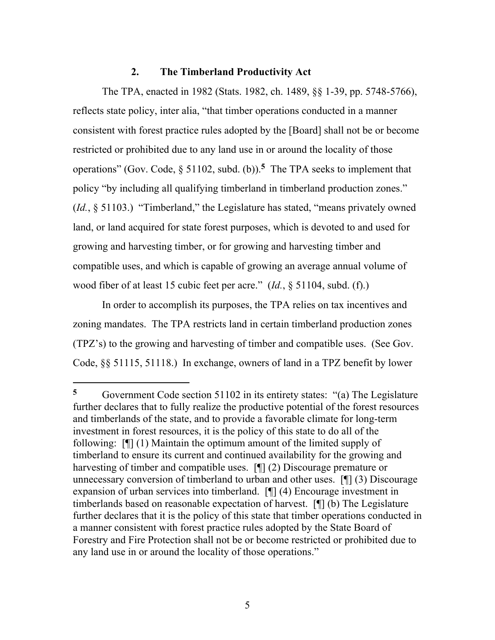#### **2. The Timberland Productivity Act**

The TPA, enacted in 1982 (Stats. 1982, ch. 1489, §§ 1-39, pp. 5748-5766), reflects state policy, inter alia, "that timber operations conducted in a manner consistent with forest practice rules adopted by the [Board] shall not be or become restricted or prohibited due to any land use in or around the locality of those operations" (Gov. Code, § 51102, subd. (b)).**5** The TPA seeks to implement that policy "by including all qualifying timberland in timberland production zones." (*Id.*, § 51103.) "Timberland," the Legislature has stated, "means privately owned land, or land acquired for state forest purposes, which is devoted to and used for growing and harvesting timber, or for growing and harvesting timber and compatible uses, and which is capable of growing an average annual volume of wood fiber of at least 15 cubic feet per acre." (*Id.*, § 51104, subd. (f).)

In order to accomplish its purposes, the TPA relies on tax incentives and zoning mandates. The TPA restricts land in certain timberland production zones (TPZ's) to the growing and harvesting of timber and compatible uses. (See Gov. Code, §§ 51115, 51118.) In exchange, owners of land in a TPZ benefit by lower

l

**<sup>5</sup>** Government Code section 51102 in its entirety states: "(a) The Legislature further declares that to fully realize the productive potential of the forest resources and timberlands of the state, and to provide a favorable climate for long-term investment in forest resources, it is the policy of this state to do all of the following: [¶] (1) Maintain the optimum amount of the limited supply of timberland to ensure its current and continued availability for the growing and harvesting of timber and compatible uses. [¶] (2) Discourage premature or unnecessary conversion of timberland to urban and other uses. [¶] (3) Discourage expansion of urban services into timberland. [¶] (4) Encourage investment in timberlands based on reasonable expectation of harvest. [¶] (b) The Legislature further declares that it is the policy of this state that timber operations conducted in a manner consistent with forest practice rules adopted by the State Board of Forestry and Fire Protection shall not be or become restricted or prohibited due to any land use in or around the locality of those operations."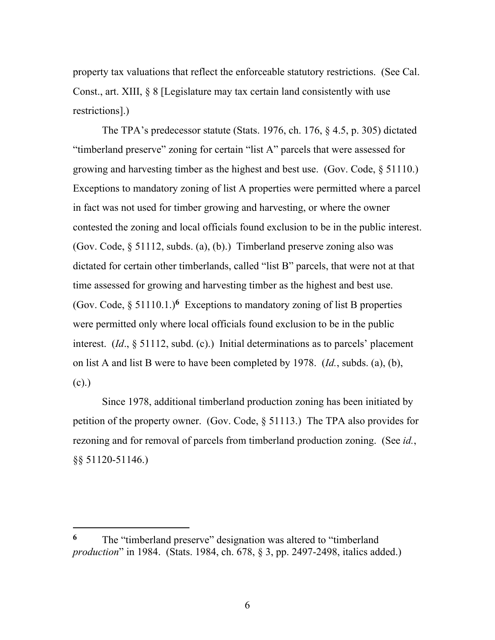property tax valuations that reflect the enforceable statutory restrictions. (See Cal. Const., art. XIII, § 8 [Legislature may tax certain land consistently with use restrictions].)

The TPA's predecessor statute (Stats. 1976, ch. 176, § 4.5, p. 305) dictated "timberland preserve" zoning for certain "list A" parcels that were assessed for growing and harvesting timber as the highest and best use. (Gov. Code, § 51110.) Exceptions to mandatory zoning of list A properties were permitted where a parcel in fact was not used for timber growing and harvesting, or where the owner contested the zoning and local officials found exclusion to be in the public interest. (Gov. Code, § 51112, subds. (a), (b).) Timberland preserve zoning also was dictated for certain other timberlands, called "list B" parcels, that were not at that time assessed for growing and harvesting timber as the highest and best use. (Gov. Code,  $\S 51110.1$ .)<sup>6</sup> Exceptions to mandatory zoning of list B properties were permitted only where local officials found exclusion to be in the public interest. (*Id*., § 51112, subd. (c).) Initial determinations as to parcels' placement on list A and list B were to have been completed by 1978. (*Id.*, subds. (a), (b), (c).)

Since 1978, additional timberland production zoning has been initiated by petition of the property owner. (Gov. Code, § 51113.) The TPA also provides for rezoning and for removal of parcels from timberland production zoning. (See *id.*, §§ 51120-51146.)

**<sup>6</sup>** The "timberland preserve" designation was altered to "timberland *production*" in 1984. (Stats. 1984, ch. 678, § 3, pp. 2497-2498, italics added.)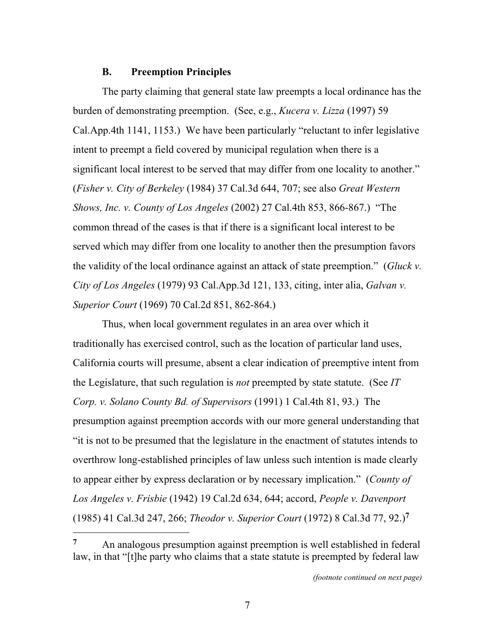#### **B. Preemption Principles**

The party claiming that general state law preempts a local ordinance has the burden of demonstrating preemption. (See, e.g., *Kucera v. Lizza* (1997) 59 Cal.App.4th 1141, 1153.) We have been particularly "reluctant to infer legislative intent to preempt a field covered by municipal regulation when there is a significant local interest to be served that may differ from one locality to another." (*Fisher v. City of Berkeley* (1984) 37 Cal.3d 644, 707; see also *Great Western Shows, Inc. v. County of Los Angeles* (2002) 27 Cal.4th 853, 866-867.) "The common thread of the cases is that if there is a significant local interest to be served which may differ from one locality to another then the presumption favors the validity of the local ordinance against an attack of state preemption." (*Gluck v. City of Los Angeles* (1979) 93 Cal.App.3d 121, 133, citing, inter alia, *Galvan v. Superior Court* (1969) 70 Cal.2d 851, 862-864.)

Thus, when local government regulates in an area over which it traditionally has exercised control, such as the location of particular land uses, California courts will presume, absent a clear indication of preemptive intent from the Legislature, that such regulation is *not* preempted by state statute. (See *IT Corp. v. Solano County Bd. of Supervisors* (1991) 1 Cal.4th 81, 93.) The presumption against preemption accords with our more general understanding that "it is not to be presumed that the legislature in the enactment of statutes intends to overthrow long-established principles of law unless such intention is made clearly to appear either by express declaration or by necessary implication." (*County of Los Angeles v. Frisbie* (1942) 19 Cal.2d 634, 644; accord, *People v. Davenport*  (1985) 41 Cal.3d 247, 266; *Theodor v. Superior Court* (1972) 8 Cal.3d 77, 92.)**<sup>7</sup>**

**<sup>7</sup>** An analogous presumption against preemption is well established in federal law, in that "[t]he party who claims that a state statute is preempted by federal law

*<sup>(</sup>footnote continued on next page)*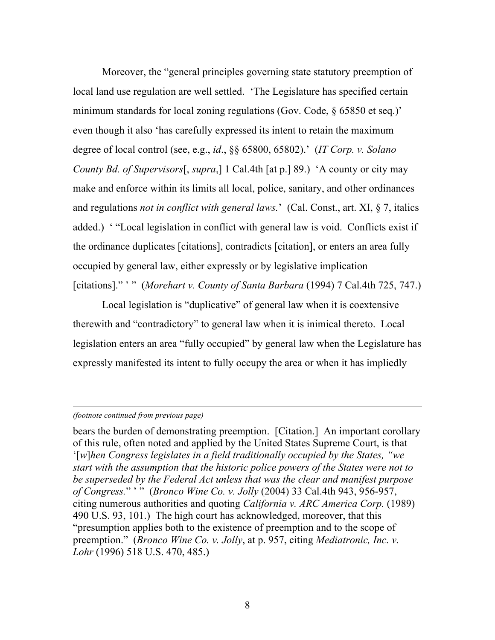Moreover, the "general principles governing state statutory preemption of local land use regulation are well settled. 'The Legislature has specified certain minimum standards for local zoning regulations (Gov. Code, § 65850 et seq.)' even though it also 'has carefully expressed its intent to retain the maximum degree of local control (see, e.g., *id*., §§ 65800, 65802).' (*IT Corp. v. Solano County Bd. of Supervisors*[, *supra*,] 1 Cal.4th [at p.] 89.) 'A county or city may make and enforce within its limits all local, police, sanitary, and other ordinances and regulations *not in conflict with general laws.*' (Cal. Const., art. XI, § 7, italics added.) ' "Local legislation in conflict with general law is void. Conflicts exist if the ordinance duplicates [citations], contradicts [citation], or enters an area fully occupied by general law, either expressly or by legislative implication [citations]." ' " (*Morehart v. County of Santa Barbara* (1994) 7 Cal.4th 725, 747.)

Local legislation is "duplicative" of general law when it is coextensive therewith and "contradictory" to general law when it is inimical thereto. Local legislation enters an area "fully occupied" by general law when the Legislature has expressly manifested its intent to fully occupy the area or when it has impliedly

#### *(footnote continued from previous page)*

l

bears the burden of demonstrating preemption. [Citation.] An important corollary of this rule, often noted and applied by the United States Supreme Court, is that '[*w*]*hen Congress legislates in a field traditionally occupied by the States, "we start with the assumption that the historic police powers of the States were not to be superseded by the Federal Act unless that was the clear and manifest purpose of Congress.*" ' " (*Bronco Wine Co. v. Jolly* (2004) 33 Cal.4th 943, 956-957, citing numerous authorities and quoting *California v. ARC America Corp.* (1989) 490 U.S. 93, 101.) The high court has acknowledged, moreover, that this "presumption applies both to the existence of preemption and to the scope of preemption." (*Bronco Wine Co. v. Jolly*, at p. 957, citing *Mediatronic, Inc. v. Lohr* (1996) 518 U.S. 470, 485.)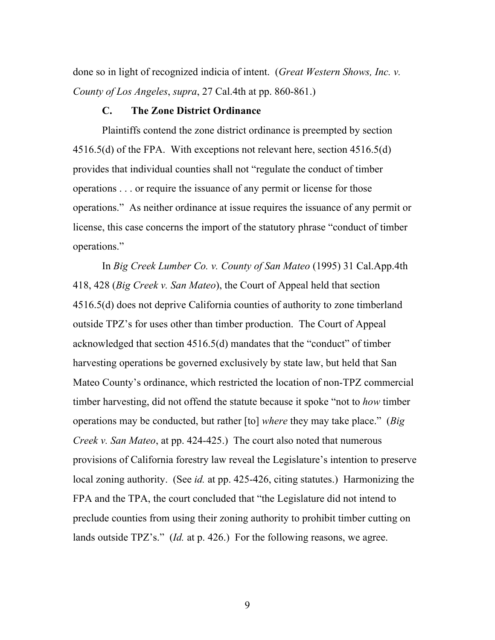done so in light of recognized indicia of intent. (*Great Western Shows, Inc. v. County of Los Angeles*, *supra*, 27 Cal.4th at pp. 860-861.)

#### **C. The Zone District Ordinance**

Plaintiffs contend the zone district ordinance is preempted by section 4516.5(d) of the FPA. With exceptions not relevant here, section 4516.5(d) provides that individual counties shall not "regulate the conduct of timber operations . . . or require the issuance of any permit or license for those operations." As neither ordinance at issue requires the issuance of any permit or license, this case concerns the import of the statutory phrase "conduct of timber operations."

In *Big Creek Lumber Co. v. County of San Mateo* (1995) 31 Cal.App.4th 418, 428 (*Big Creek v. San Mateo*), the Court of Appeal held that section 4516.5(d) does not deprive California counties of authority to zone timberland outside TPZ's for uses other than timber production. The Court of Appeal acknowledged that section 4516.5(d) mandates that the "conduct" of timber harvesting operations be governed exclusively by state law, but held that San Mateo County's ordinance, which restricted the location of non-TPZ commercial timber harvesting, did not offend the statute because it spoke "not to *how* timber operations may be conducted, but rather [to] *where* they may take place." (*Big Creek v. San Mateo*, at pp. 424-425.) The court also noted that numerous provisions of California forestry law reveal the Legislature's intention to preserve local zoning authority. (See *id.* at pp. 425-426, citing statutes.) Harmonizing the FPA and the TPA, the court concluded that "the Legislature did not intend to preclude counties from using their zoning authority to prohibit timber cutting on lands outside TPZ's." (*Id.* at p. 426.) For the following reasons, we agree.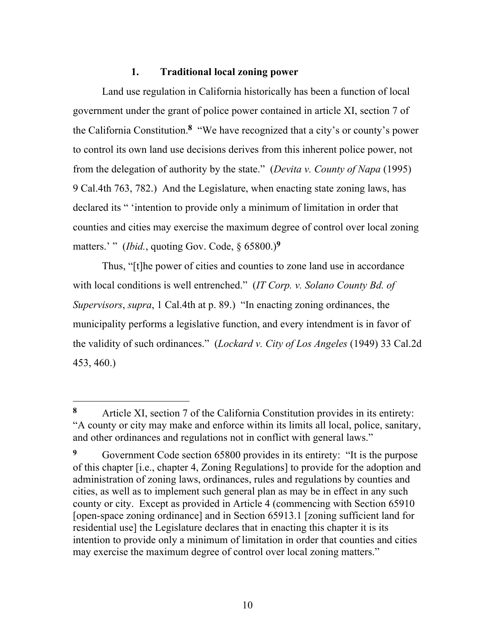### **1. Traditional local zoning power**

Land use regulation in California historically has been a function of local government under the grant of police power contained in article XI, section 7 of the California Constitution.**8** "We have recognized that a city's or county's power to control its own land use decisions derives from this inherent police power, not from the delegation of authority by the state." (*Devita v. County of Napa* (1995) 9 Cal.4th 763, 782.) And the Legislature, when enacting state zoning laws, has declared its " 'intention to provide only a minimum of limitation in order that counties and cities may exercise the maximum degree of control over local zoning matters.' " (*Ibid.*, quoting Gov. Code,  $\delta$  65800.)<sup>9</sup>

Thus, "[t]he power of cities and counties to zone land use in accordance with local conditions is well entrenched." (*IT Corp. v. Solano County Bd. of Supervisors*, *supra*, 1 Cal.4th at p. 89.) "In enacting zoning ordinances, the municipality performs a legislative function, and every intendment is in favor of the validity of such ordinances." (*Lockard v. City of Los Angeles* (1949) 33 Cal.2d 453, 460.)

l

**<sup>8</sup>** Article XI, section 7 of the California Constitution provides in its entirety: "A county or city may make and enforce within its limits all local, police, sanitary, and other ordinances and regulations not in conflict with general laws."

**<sup>9</sup>** Government Code section 65800 provides in its entirety: "It is the purpose of this chapter [i.e., chapter 4, Zoning Regulations] to provide for the adoption and administration of zoning laws, ordinances, rules and regulations by counties and cities, as well as to implement such general plan as may be in effect in any such county or city. Except as provided in Article 4 (commencing with Section 65910 [open-space zoning ordinance] and in Section 65913.1 [zoning sufficient land for residential use] the Legislature declares that in enacting this chapter it is its intention to provide only a minimum of limitation in order that counties and cities may exercise the maximum degree of control over local zoning matters."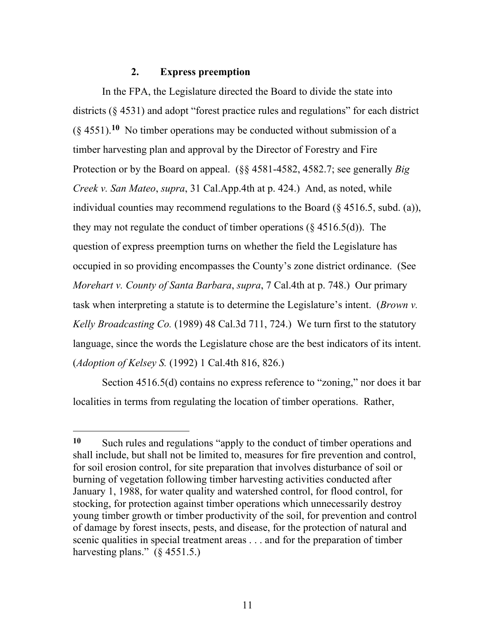#### **2. Express preemption**

In the FPA, the Legislature directed the Board to divide the state into districts (§ 4531) and adopt "forest practice rules and regulations" for each district (§ 4551).**10** No timber operations may be conducted without submission of a timber harvesting plan and approval by the Director of Forestry and Fire Protection or by the Board on appeal. (§§ 4581-4582, 4582.7; see generally *Big Creek v. San Mateo*, *supra*, 31 Cal.App.4th at p. 424.) And, as noted, while individual counties may recommend regulations to the Board (§ 4516.5, subd. (a)), they may not regulate the conduct of timber operations (§ 4516.5(d)). The question of express preemption turns on whether the field the Legislature has occupied in so providing encompasses the County's zone district ordinance. (See *Morehart v. County of Santa Barbara*, *supra*, 7 Cal.4th at p. 748.) Our primary task when interpreting a statute is to determine the Legislature's intent. (*Brown v. Kelly Broadcasting Co.* (1989) 48 Cal.3d 711, 724.) We turn first to the statutory language, since the words the Legislature chose are the best indicators of its intent. (*Adoption of Kelsey S.* (1992) 1 Cal.4th 816, 826.)

Section 4516.5(d) contains no express reference to "zoning," nor does it bar localities in terms from regulating the location of timber operations. Rather,

 $\overline{a}$ 

**<sup>10</sup>** Such rules and regulations "apply to the conduct of timber operations and shall include, but shall not be limited to, measures for fire prevention and control, for soil erosion control, for site preparation that involves disturbance of soil or burning of vegetation following timber harvesting activities conducted after January 1, 1988, for water quality and watershed control, for flood control, for stocking, for protection against timber operations which unnecessarily destroy young timber growth or timber productivity of the soil, for prevention and control of damage by forest insects, pests, and disease, for the protection of natural and scenic qualities in special treatment areas . . . and for the preparation of timber harvesting plans." (§ 4551.5.)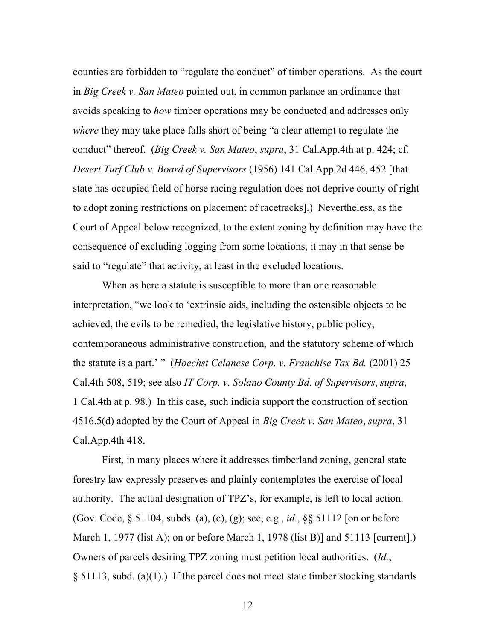counties are forbidden to "regulate the conduct" of timber operations. As the court in *Big Creek v. San Mateo* pointed out, in common parlance an ordinance that avoids speaking to *how* timber operations may be conducted and addresses only *where* they may take place falls short of being "a clear attempt to regulate the conduct" thereof. (*Big Creek v. San Mateo*, *supra*, 31 Cal.App.4th at p. 424; cf. *Desert Turf Club v. Board of Supervisors* (1956) 141 Cal.App.2d 446, 452 [that state has occupied field of horse racing regulation does not deprive county of right to adopt zoning restrictions on placement of racetracks].) Nevertheless, as the Court of Appeal below recognized, to the extent zoning by definition may have the consequence of excluding logging from some locations, it may in that sense be said to "regulate" that activity, at least in the excluded locations.

When as here a statute is susceptible to more than one reasonable interpretation, "we look to 'extrinsic aids, including the ostensible objects to be achieved, the evils to be remedied, the legislative history, public policy, contemporaneous administrative construction, and the statutory scheme of which the statute is a part.' " (*Hoechst Celanese Corp. v. Franchise Tax Bd.* (2001) 25 Cal.4th 508, 519; see also *IT Corp. v. Solano County Bd. of Supervisors*, *supra*, 1 Cal.4th at p. 98.) In this case, such indicia support the construction of section 4516.5(d) adopted by the Court of Appeal in *Big Creek v. San Mateo*, *supra*, 31 Cal.App.4th 418.

First, in many places where it addresses timberland zoning, general state forestry law expressly preserves and plainly contemplates the exercise of local authority. The actual designation of TPZ's, for example, is left to local action. (Gov. Code, § 51104, subds. (a), (c), (g); see, e.g., *id.*, §§ 51112 [on or before March 1, 1977 (list A); on or before March 1, 1978 (list B)] and 51113 [current].) Owners of parcels desiring TPZ zoning must petition local authorities. (*Id.*, § 51113, subd. (a)(1).) If the parcel does not meet state timber stocking standards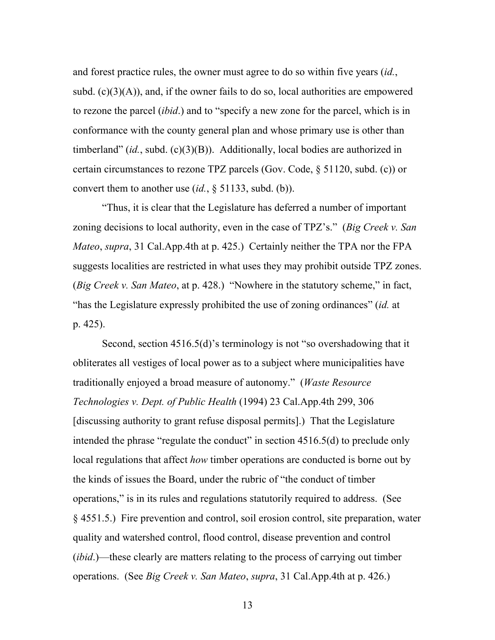and forest practice rules, the owner must agree to do so within five years (*id.*, subd.  $(c)(3)(A)$ , and, if the owner fails to do so, local authorities are empowered to rezone the parcel (*ibid*.) and to "specify a new zone for the parcel, which is in conformance with the county general plan and whose primary use is other than timberland" (*id.*, subd. (c)(3)(B)). Additionally, local bodies are authorized in certain circumstances to rezone TPZ parcels (Gov. Code, § 51120, subd. (c)) or convert them to another use (*id.*, § 51133, subd. (b)).

"Thus, it is clear that the Legislature has deferred a number of important zoning decisions to local authority, even in the case of TPZ's." (*Big Creek v. San Mateo*, *supra*, 31 Cal.App.4th at p. 425.) Certainly neither the TPA nor the FPA suggests localities are restricted in what uses they may prohibit outside TPZ zones. (*Big Creek v. San Mateo*, at p. 428.) "Nowhere in the statutory scheme," in fact, "has the Legislature expressly prohibited the use of zoning ordinances" (*id.* at p. 425).

Second, section 4516.5(d)'s terminology is not "so overshadowing that it obliterates all vestiges of local power as to a subject where municipalities have traditionally enjoyed a broad measure of autonomy." (*Waste Resource Technologies v. Dept. of Public Health* (1994) 23 Cal.App.4th 299, 306 [discussing authority to grant refuse disposal permits].) That the Legislature intended the phrase "regulate the conduct" in section 4516.5(d) to preclude only local regulations that affect *how* timber operations are conducted is borne out by the kinds of issues the Board, under the rubric of "the conduct of timber operations," is in its rules and regulations statutorily required to address. (See § 4551.5.) Fire prevention and control, soil erosion control, site preparation, water quality and watershed control, flood control, disease prevention and control (*ibid*.)—these clearly are matters relating to the process of carrying out timber operations. (See *Big Creek v. San Mateo*, *supra*, 31 Cal.App.4th at p. 426.)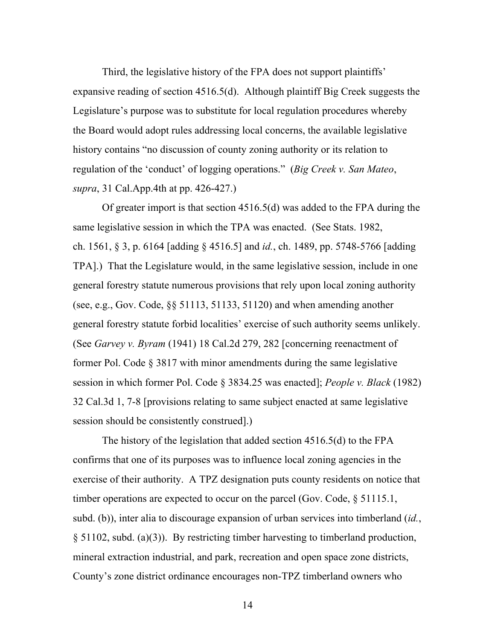Third, the legislative history of the FPA does not support plaintiffs' expansive reading of section 4516.5(d). Although plaintiff Big Creek suggests the Legislature's purpose was to substitute for local regulation procedures whereby the Board would adopt rules addressing local concerns, the available legislative history contains "no discussion of county zoning authority or its relation to regulation of the 'conduct' of logging operations." (*Big Creek v. San Mateo*, *supra*, 31 Cal.App.4th at pp. 426-427.)

Of greater import is that section 4516.5(d) was added to the FPA during the same legislative session in which the TPA was enacted. (See Stats. 1982, ch. 1561, § 3, p. 6164 [adding § 4516.5] and *id.*, ch. 1489, pp. 5748-5766 [adding TPA].) That the Legislature would, in the same legislative session, include in one general forestry statute numerous provisions that rely upon local zoning authority (see, e.g., Gov. Code, §§ 51113, 51133, 51120) and when amending another general forestry statute forbid localities' exercise of such authority seems unlikely. (See *Garvey v. Byram* (1941) 18 Cal.2d 279, 282 [concerning reenactment of former Pol. Code § 3817 with minor amendments during the same legislative session in which former Pol. Code § 3834.25 was enacted]; *People v. Black* (1982) 32 Cal.3d 1, 7-8 [provisions relating to same subject enacted at same legislative session should be consistently construed].)

The history of the legislation that added section 4516.5(d) to the FPA confirms that one of its purposes was to influence local zoning agencies in the exercise of their authority. A TPZ designation puts county residents on notice that timber operations are expected to occur on the parcel (Gov. Code,  $\S 51115.1$ , subd. (b)), inter alia to discourage expansion of urban services into timberland (*id.*, § 51102, subd. (a)(3)). By restricting timber harvesting to timberland production, mineral extraction industrial, and park, recreation and open space zone districts, County's zone district ordinance encourages non-TPZ timberland owners who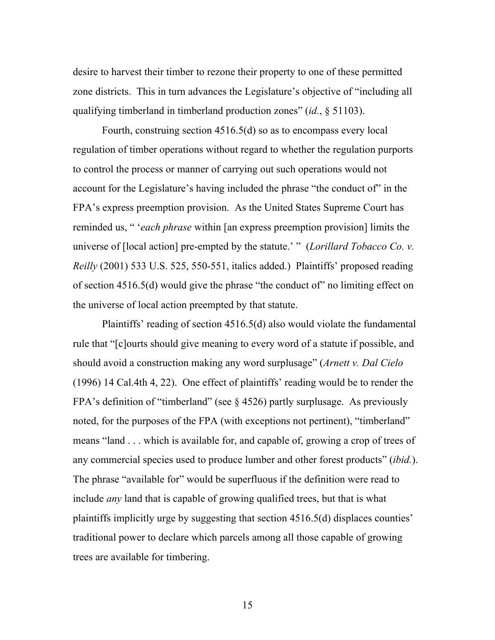desire to harvest their timber to rezone their property to one of these permitted zone districts. This in turn advances the Legislature's objective of "including all qualifying timberland in timberland production zones" (*id.*, § 51103).

Fourth, construing section 4516.5(d) so as to encompass every local regulation of timber operations without regard to whether the regulation purports to control the process or manner of carrying out such operations would not account for the Legislature's having included the phrase "the conduct of" in the FPA's express preemption provision. As the United States Supreme Court has reminded us, " '*each phrase* within [an express preemption provision] limits the universe of [local action] pre-empted by the statute.' " (*Lorillard Tobacco Co. v. Reilly* (2001) 533 U.S. 525, 550-551, italics added.) Plaintiffs' proposed reading of section 4516.5(d) would give the phrase "the conduct of" no limiting effect on the universe of local action preempted by that statute.

Plaintiffs' reading of section 4516.5(d) also would violate the fundamental rule that "[c]ourts should give meaning to every word of a statute if possible, and should avoid a construction making any word surplusage" (*Arnett v. Dal Cielo* (1996) 14 Cal.4th 4, 22). One effect of plaintiffs' reading would be to render the FPA's definition of "timberland" (see § 4526) partly surplusage. As previously noted, for the purposes of the FPA (with exceptions not pertinent), "timberland" means "land . . . which is available for, and capable of, growing a crop of trees of any commercial species used to produce lumber and other forest products" (*ibid.*). The phrase "available for" would be superfluous if the definition were read to include *any* land that is capable of growing qualified trees, but that is what plaintiffs implicitly urge by suggesting that section 4516.5(d) displaces counties' traditional power to declare which parcels among all those capable of growing trees are available for timbering.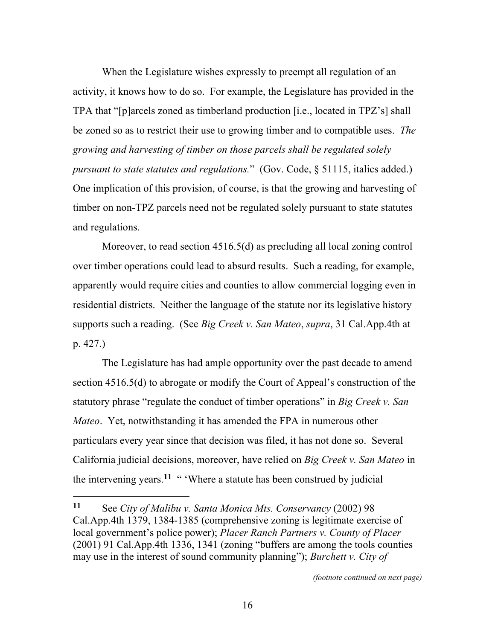When the Legislature wishes expressly to preempt all regulation of an activity, it knows how to do so. For example, the Legislature has provided in the TPA that "[p]arcels zoned as timberland production [i.e., located in TPZ's] shall be zoned so as to restrict their use to growing timber and to compatible uses. *The growing and harvesting of timber on those parcels shall be regulated solely pursuant to state statutes and regulations.*" (Gov. Code, § 51115, italics added.) One implication of this provision, of course, is that the growing and harvesting of timber on non-TPZ parcels need not be regulated solely pursuant to state statutes and regulations.

Moreover, to read section 4516.5(d) as precluding all local zoning control over timber operations could lead to absurd results. Such a reading, for example, apparently would require cities and counties to allow commercial logging even in residential districts. Neither the language of the statute nor its legislative history supports such a reading. (See *Big Creek v. San Mateo*, *supra*, 31 Cal.App.4th at p. 427.)

The Legislature has had ample opportunity over the past decade to amend section 4516.5(d) to abrogate or modify the Court of Appeal's construction of the statutory phrase "regulate the conduct of timber operations" in *Big Creek v. San Mateo*. Yet, notwithstanding it has amended the FPA in numerous other particulars every year since that decision was filed, it has not done so. Several California judicial decisions, moreover, have relied on *Big Creek v. San Mateo* in the intervening years.<sup>11</sup> " 'Where a statute has been construed by judicial

l

**<sup>11</sup>** See *City of Malibu v. Santa Monica Mts. Conservancy* (2002) 98 Cal.App.4th 1379, 1384-1385 (comprehensive zoning is legitimate exercise of local government's police power); *Placer Ranch Partners v. County of Placer* (2001) 91 Cal.App.4th 1336, 1341 (zoning "buffers are among the tools counties may use in the interest of sound community planning"); *Burchett v. City of*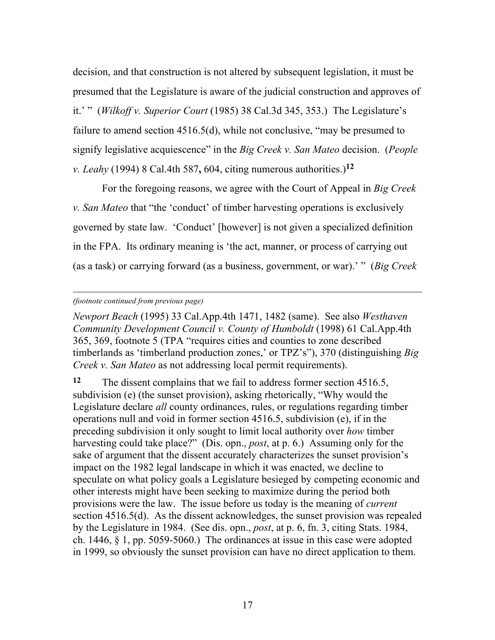decision, and that construction is not altered by subsequent legislation, it must be presumed that the Legislature is aware of the judicial construction and approves of it.' " (*Wilkoff v. Superior Court* (1985) 38 Cal.3d 345, 353.) The Legislature's failure to amend section 4516.5(d), while not conclusive, "may be presumed to signify legislative acquiescence" in the *Big Creek v. San Mateo* decision. (*People v. Leahy* (1994) 8 Cal.4th 587**,** 604, citing numerous authorities.)**<sup>12</sup>**

For the foregoing reasons, we agree with the Court of Appeal in *Big Creek v. San Mateo* that "the 'conduct' of timber harvesting operations is exclusively governed by state law. 'Conduct' [however] is not given a specialized definition in the FPA. Its ordinary meaning is 'the act, manner, or process of carrying out (as a task) or carrying forward (as a business, government, or war).' " (*Big Creek* 

#### *(footnote continued from previous page)*

l

*Newport Beach* (1995) 33 Cal.App.4th 1471, 1482 (same). See also *Westhaven Community Development Council v. County of Humboldt* (1998) 61 Cal.App.4th 365, 369, footnote 5 (TPA "requires cities and counties to zone described timberlands as 'timberland production zones,' or TPZ's"), 370 (distinguishing *Big Creek v. San Mateo* as not addressing local permit requirements).

**<sup>12</sup>** The dissent complains that we fail to address former section 4516.5, subdivision (e) (the sunset provision), asking rhetorically, "Why would the Legislature declare *all* county ordinances, rules, or regulations regarding timber operations null and void in former section 4516.5, subdivision (e), if in the preceding subdivision it only sought to limit local authority over *how* timber harvesting could take place?" (Dis. opn., *post*, at p. 6.) Assuming only for the sake of argument that the dissent accurately characterizes the sunset provision's impact on the 1982 legal landscape in which it was enacted, we decline to speculate on what policy goals a Legislature besieged by competing economic and other interests might have been seeking to maximize during the period both provisions were the law. The issue before us today is the meaning of *current* section 4516.5(d). As the dissent acknowledges, the sunset provision was repealed by the Legislature in 1984. (See dis. opn., *post*, at p. 6, fn. 3, citing Stats. 1984, ch. 1446, § 1, pp. 5059-5060.) The ordinances at issue in this case were adopted in 1999, so obviously the sunset provision can have no direct application to them.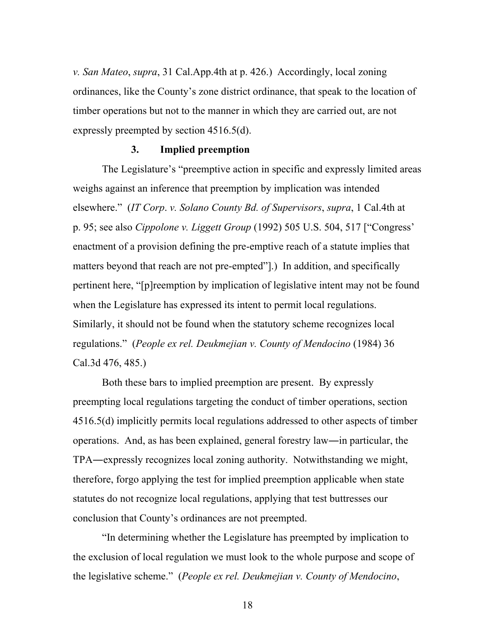*v. San Mateo*, *supra*, 31 Cal.App.4th at p. 426.) Accordingly, local zoning ordinances, like the County's zone district ordinance, that speak to the location of timber operations but not to the manner in which they are carried out, are not expressly preempted by section 4516.5(d).

#### **3. Implied preemption**

The Legislature's "preemptive action in specific and expressly limited areas weighs against an inference that preemption by implication was intended elsewhere." (*IT Corp*. *v. Solano County Bd. of Supervisors*, *supra*, 1 Cal.4th at p. 95; see also *Cippolone v. Liggett Group* (1992) 505 U.S. 504, 517 ["Congress' enactment of a provision defining the pre-emptive reach of a statute implies that matters beyond that reach are not pre-empted"].) In addition, and specifically pertinent here, "[p]reemption by implication of legislative intent may not be found when the Legislature has expressed its intent to permit local regulations. Similarly, it should not be found when the statutory scheme recognizes local regulations." (*People ex rel. Deukmejian v. County of Mendocino* (1984) 36 Cal.3d 476, 485.)

Both these bars to implied preemption are present. By expressly preempting local regulations targeting the conduct of timber operations, section 4516.5(d) implicitly permits local regulations addressed to other aspects of timber operations. And, as has been explained, general forestry law―in particular, the TPA―expressly recognizes local zoning authority. Notwithstanding we might, therefore, forgo applying the test for implied preemption applicable when state statutes do not recognize local regulations, applying that test buttresses our conclusion that County's ordinances are not preempted.

"In determining whether the Legislature has preempted by implication to the exclusion of local regulation we must look to the whole purpose and scope of the legislative scheme." (*People ex rel. Deukmejian v. County of Mendocino*,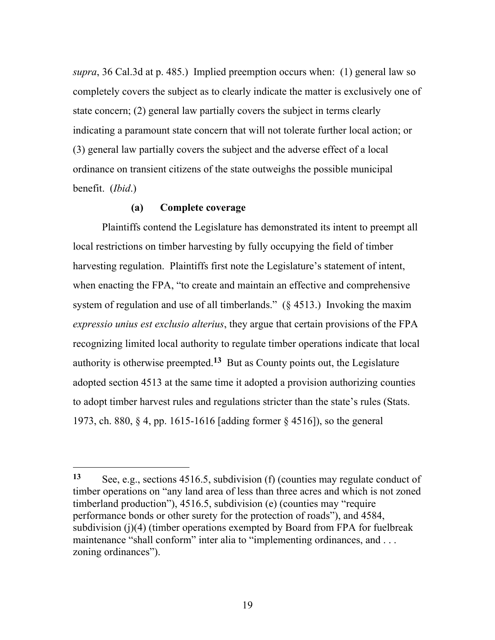*supra*, 36 Cal.3d at p. 485.) Implied preemption occurs when: (1) general law so completely covers the subject as to clearly indicate the matter is exclusively one of state concern; (2) general law partially covers the subject in terms clearly indicating a paramount state concern that will not tolerate further local action; or (3) general law partially covers the subject and the adverse effect of a local ordinance on transient citizens of the state outweighs the possible municipal benefit. (*Ibid*.)

#### **(a) Complete coverage**

l

Plaintiffs contend the Legislature has demonstrated its intent to preempt all local restrictions on timber harvesting by fully occupying the field of timber harvesting regulation. Plaintiffs first note the Legislature's statement of intent, when enacting the FPA, "to create and maintain an effective and comprehensive system of regulation and use of all timberlands." (§ 4513.) Invoking the maxim *expressio unius est exclusio alterius*, they argue that certain provisions of the FPA recognizing limited local authority to regulate timber operations indicate that local authority is otherwise preempted.**13** But as County points out, the Legislature adopted section 4513 at the same time it adopted a provision authorizing counties to adopt timber harvest rules and regulations stricter than the state's rules (Stats. 1973, ch. 880, § 4, pp. 1615-1616 [adding former § 4516]), so the general

**<sup>13</sup>** See, e.g., sections 4516.5, subdivision (f) (counties may regulate conduct of timber operations on "any land area of less than three acres and which is not zoned timberland production"), 4516.5, subdivision (e) (counties may "require performance bonds or other surety for the protection of roads"), and 4584, subdivision (j)(4) (timber operations exempted by Board from FPA for fuelbreak maintenance "shall conform" inter alia to "implementing ordinances, and ... zoning ordinances").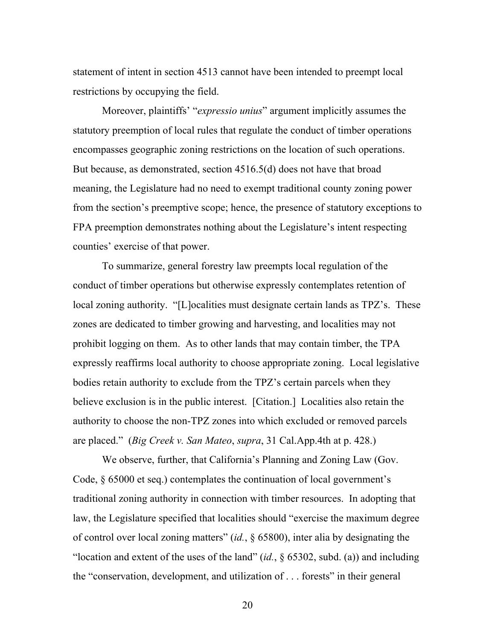statement of intent in section 4513 cannot have been intended to preempt local restrictions by occupying the field.

Moreover, plaintiffs' "*expressio unius*" argument implicitly assumes the statutory preemption of local rules that regulate the conduct of timber operations encompasses geographic zoning restrictions on the location of such operations. But because, as demonstrated, section 4516.5(d) does not have that broad meaning, the Legislature had no need to exempt traditional county zoning power from the section's preemptive scope; hence, the presence of statutory exceptions to FPA preemption demonstrates nothing about the Legislature's intent respecting counties' exercise of that power.

To summarize, general forestry law preempts local regulation of the conduct of timber operations but otherwise expressly contemplates retention of local zoning authority. "[L]ocalities must designate certain lands as TPZ's. These zones are dedicated to timber growing and harvesting, and localities may not prohibit logging on them. As to other lands that may contain timber, the TPA expressly reaffirms local authority to choose appropriate zoning. Local legislative bodies retain authority to exclude from the TPZ's certain parcels when they believe exclusion is in the public interest. [Citation.] Localities also retain the authority to choose the non-TPZ zones into which excluded or removed parcels are placed." (*Big Creek v. San Mateo*, *supra*, 31 Cal.App.4th at p. 428.)

We observe, further, that California's Planning and Zoning Law (Gov. Code, § 65000 et seq.) contemplates the continuation of local government's traditional zoning authority in connection with timber resources. In adopting that law, the Legislature specified that localities should "exercise the maximum degree of control over local zoning matters" (*id.*, § 65800), inter alia by designating the "location and extent of the uses of the land" (*id.*, § 65302, subd. (a)) and including the "conservation, development, and utilization of . . . forests" in their general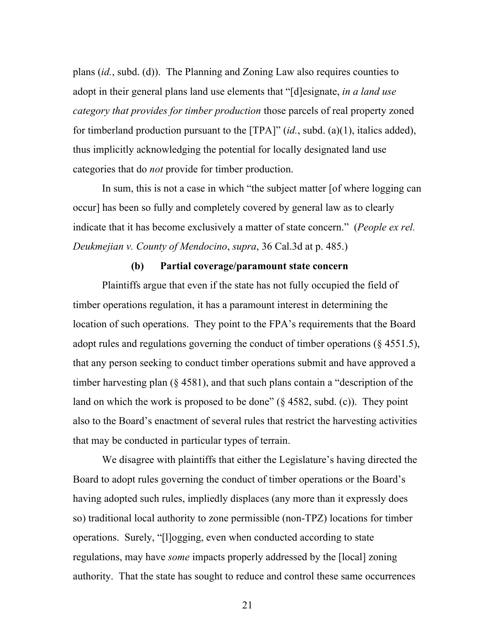plans (*id.*, subd. (d)). The Planning and Zoning Law also requires counties to adopt in their general plans land use elements that "[d]esignate, *in a land use category that provides for timber production* those parcels of real property zoned for timberland production pursuant to the [TPA]" (*id.*, subd. (a)(1), italics added), thus implicitly acknowledging the potential for locally designated land use categories that do *not* provide for timber production.

In sum, this is not a case in which "the subject matter [of where logging can occur] has been so fully and completely covered by general law as to clearly indicate that it has become exclusively a matter of state concern." (*People ex rel. Deukmejian v. County of Mendocino*, *supra*, 36 Cal.3d at p. 485.)

#### **(b) Partial coverage/paramount state concern**

Plaintiffs argue that even if the state has not fully occupied the field of timber operations regulation, it has a paramount interest in determining the location of such operations. They point to the FPA's requirements that the Board adopt rules and regulations governing the conduct of timber operations (§ 4551.5), that any person seeking to conduct timber operations submit and have approved a timber harvesting plan (§ 4581), and that such plans contain a "description of the land on which the work is proposed to be done"  $(\S 4582, \text{subd. (c)})$ . They point also to the Board's enactment of several rules that restrict the harvesting activities that may be conducted in particular types of terrain.

We disagree with plaintiffs that either the Legislature's having directed the Board to adopt rules governing the conduct of timber operations or the Board's having adopted such rules, impliedly displaces (any more than it expressly does so) traditional local authority to zone permissible (non-TPZ) locations for timber operations. Surely, "[l]ogging, even when conducted according to state regulations, may have *some* impacts properly addressed by the [local] zoning authority. That the state has sought to reduce and control these same occurrences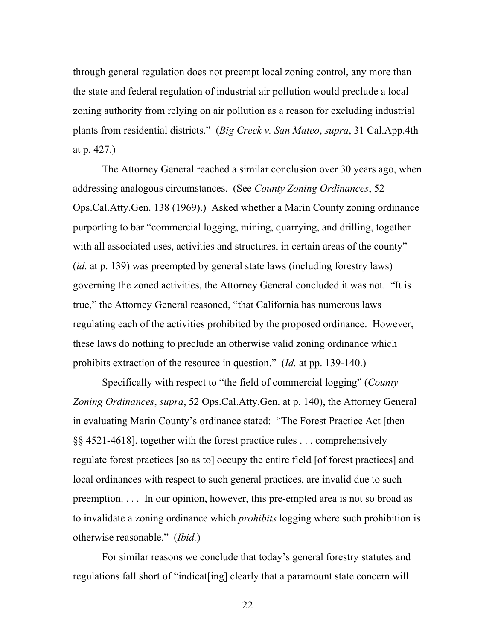through general regulation does not preempt local zoning control, any more than the state and federal regulation of industrial air pollution would preclude a local zoning authority from relying on air pollution as a reason for excluding industrial plants from residential districts." (*Big Creek v. San Mateo*, *supra*, 31 Cal.App.4th at p. 427.)

The Attorney General reached a similar conclusion over 30 years ago, when addressing analogous circumstances. (See *County Zoning Ordinances*, 52 Ops.Cal.Atty.Gen. 138 (1969).) Asked whether a Marin County zoning ordinance purporting to bar "commercial logging, mining, quarrying, and drilling, together with all associated uses, activities and structures, in certain areas of the county" (*id.* at p. 139) was preempted by general state laws (including forestry laws) governing the zoned activities, the Attorney General concluded it was not. "It is true," the Attorney General reasoned, "that California has numerous laws regulating each of the activities prohibited by the proposed ordinance. However, these laws do nothing to preclude an otherwise valid zoning ordinance which prohibits extraction of the resource in question." (*Id.* at pp. 139-140.)

Specifically with respect to "the field of commercial logging" (*County Zoning Ordinances*, *supra*, 52 Ops.Cal.Atty.Gen. at p. 140), the Attorney General in evaluating Marin County's ordinance stated: "The Forest Practice Act [then §§ 4521-4618], together with the forest practice rules . . . comprehensively regulate forest practices [so as to] occupy the entire field [of forest practices] and local ordinances with respect to such general practices, are invalid due to such preemption. . . . In our opinion, however, this pre-empted area is not so broad as to invalidate a zoning ordinance which *prohibits* logging where such prohibition is otherwise reasonable." (*Ibid.*)

For similar reasons we conclude that today's general forestry statutes and regulations fall short of "indicat[ing] clearly that a paramount state concern will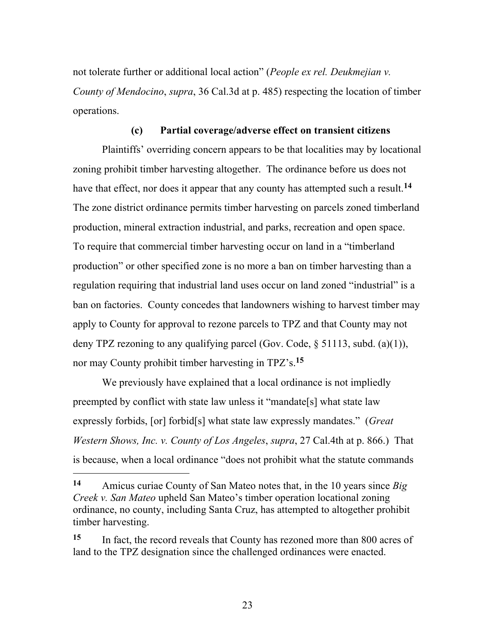not tolerate further or additional local action" (*People ex rel. Deukmejian v. County of Mendocino*, *supra*, 36 Cal.3d at p. 485) respecting the location of timber operations.

#### **(c) Partial coverage/adverse effect on transient citizens**

Plaintiffs' overriding concern appears to be that localities may by locational zoning prohibit timber harvesting altogether. The ordinance before us does not have that effect, nor does it appear that any county has attempted such a result.**<sup>14</sup>** The zone district ordinance permits timber harvesting on parcels zoned timberland production, mineral extraction industrial, and parks, recreation and open space. To require that commercial timber harvesting occur on land in a "timberland production" or other specified zone is no more a ban on timber harvesting than a regulation requiring that industrial land uses occur on land zoned "industrial" is a ban on factories. County concedes that landowners wishing to harvest timber may apply to County for approval to rezone parcels to TPZ and that County may not deny TPZ rezoning to any qualifying parcel (Gov. Code, § 51113, subd. (a)(1)), nor may County prohibit timber harvesting in TPZ's.**<sup>15</sup>**

We previously have explained that a local ordinance is not impliedly preempted by conflict with state law unless it "mandate[s] what state law expressly forbids, [or] forbid[s] what state law expressly mandates." (*Great Western Shows, Inc. v. County of Los Angeles*, *supra*, 27 Cal.4th at p. 866.) That is because, when a local ordinance "does not prohibit what the statute commands

**<sup>14</sup>** Amicus curiae County of San Mateo notes that, in the 10 years since *Big Creek v. San Mateo* upheld San Mateo's timber operation locational zoning ordinance, no county, including Santa Cruz, has attempted to altogether prohibit timber harvesting.

**<sup>15</sup>** In fact, the record reveals that County has rezoned more than 800 acres of land to the TPZ designation since the challenged ordinances were enacted.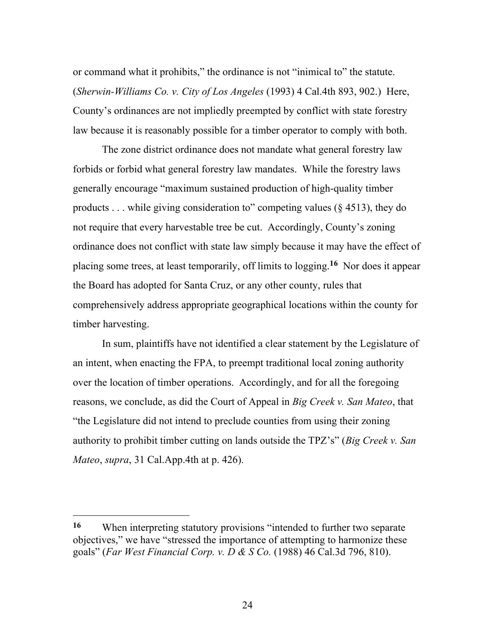or command what it prohibits," the ordinance is not "inimical to" the statute. (*Sherwin-Williams Co. v. City of Los Angeles* (1993) 4 Cal.4th 893, 902.) Here, County's ordinances are not impliedly preempted by conflict with state forestry law because it is reasonably possible for a timber operator to comply with both.

The zone district ordinance does not mandate what general forestry law forbids or forbid what general forestry law mandates. While the forestry laws generally encourage "maximum sustained production of high-quality timber products  $\ldots$  while giving consideration to" competing values (§ 4513), they do not require that every harvestable tree be cut. Accordingly, County's zoning ordinance does not conflict with state law simply because it may have the effect of placing some trees, at least temporarily, off limits to logging.**16** Nor does it appear the Board has adopted for Santa Cruz, or any other county, rules that comprehensively address appropriate geographical locations within the county for timber harvesting.

In sum, plaintiffs have not identified a clear statement by the Legislature of an intent, when enacting the FPA, to preempt traditional local zoning authority over the location of timber operations. Accordingly, and for all the foregoing reasons, we conclude, as did the Court of Appeal in *Big Creek v. San Mateo*, that "the Legislature did not intend to preclude counties from using their zoning authority to prohibit timber cutting on lands outside the TPZ's" (*Big Creek v. San Mateo*, *supra*, 31 Cal.App.4th at p. 426).

 $\overline{a}$ 

**<sup>16</sup>** When interpreting statutory provisions "intended to further two separate objectives," we have "stressed the importance of attempting to harmonize these goals" (*Far West Financial Corp. v. D & S Co.* (1988) 46 Cal.3d 796, 810).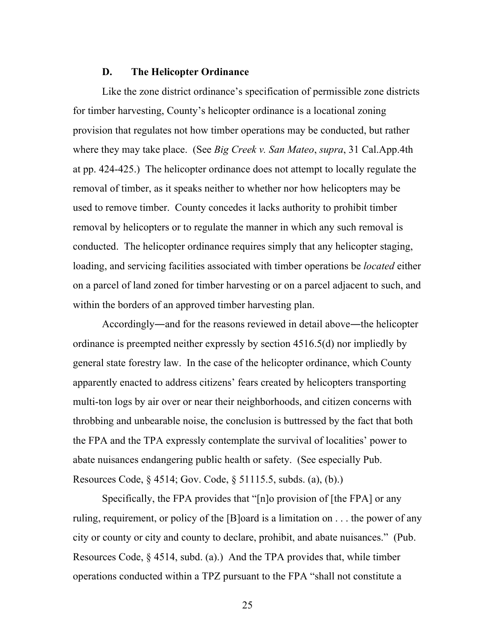#### **D. The Helicopter Ordinance**

Like the zone district ordinance's specification of permissible zone districts for timber harvesting, County's helicopter ordinance is a locational zoning provision that regulates not how timber operations may be conducted, but rather where they may take place. (See *Big Creek v. San Mateo*, *supra*, 31 Cal.App.4th at pp. 424-425.) The helicopter ordinance does not attempt to locally regulate the removal of timber, as it speaks neither to whether nor how helicopters may be used to remove timber. County concedes it lacks authority to prohibit timber removal by helicopters or to regulate the manner in which any such removal is conducted. The helicopter ordinance requires simply that any helicopter staging, loading, and servicing facilities associated with timber operations be *located* either on a parcel of land zoned for timber harvesting or on a parcel adjacent to such, and within the borders of an approved timber harvesting plan.

Accordingly―and for the reasons reviewed in detail above―the helicopter ordinance is preempted neither expressly by section 4516.5(d) nor impliedly by general state forestry law. In the case of the helicopter ordinance, which County apparently enacted to address citizens' fears created by helicopters transporting multi-ton logs by air over or near their neighborhoods, and citizen concerns with throbbing and unbearable noise, the conclusion is buttressed by the fact that both the FPA and the TPA expressly contemplate the survival of localities' power to abate nuisances endangering public health or safety. (See especially Pub. Resources Code, § 4514; Gov. Code, § 51115.5, subds. (a), (b).)

Specifically, the FPA provides that "[n]o provision of [the FPA] or any ruling, requirement, or policy of the [B]oard is a limitation on . . . the power of any city or county or city and county to declare, prohibit, and abate nuisances." (Pub. Resources Code, § 4514, subd. (a).) And the TPA provides that, while timber operations conducted within a TPZ pursuant to the FPA "shall not constitute a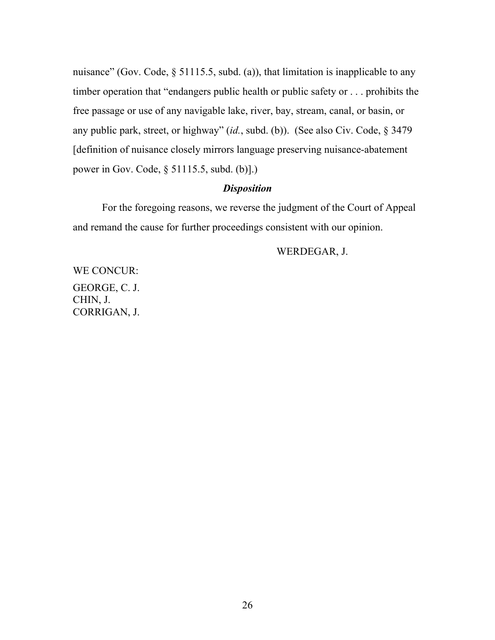nuisance" (Gov. Code, § 51115.5, subd. (a)), that limitation is inapplicable to any timber operation that "endangers public health or public safety or . . . prohibits the free passage or use of any navigable lake, river, bay, stream, canal, or basin, or any public park, street, or highway" (*id.*, subd. (b)). (See also Civ. Code, § 3479 [definition of nuisance closely mirrors language preserving nuisance-abatement power in Gov. Code, § 51115.5, subd. (b)].)

### *Disposition*

For the foregoing reasons, we reverse the judgment of the Court of Appeal and remand the cause for further proceedings consistent with our opinion.

## WERDEGAR, J.

WE CONCUR: GEORGE, C. J. CHIN, J. CORRIGAN, J.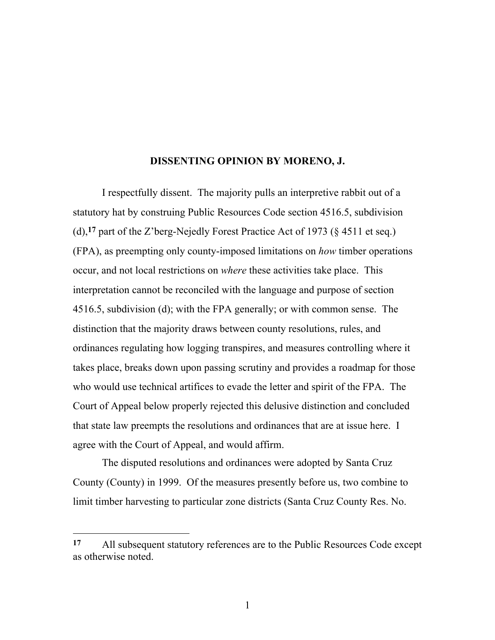#### **DISSENTING OPINION BY MORENO, J.**

I respectfully dissent. The majority pulls an interpretive rabbit out of a statutory hat by construing Public Resources Code section 4516.5, subdivision (d),**17** part of the Z'berg-Nejedly Forest Practice Act of 1973 (§ 4511 et seq.) (FPA), as preempting only county-imposed limitations on *how* timber operations occur, and not local restrictions on *where* these activities take place. This interpretation cannot be reconciled with the language and purpose of section 4516.5, subdivision (d); with the FPA generally; or with common sense. The distinction that the majority draws between county resolutions, rules, and ordinances regulating how logging transpires, and measures controlling where it takes place, breaks down upon passing scrutiny and provides a roadmap for those who would use technical artifices to evade the letter and spirit of the FPA. The Court of Appeal below properly rejected this delusive distinction and concluded that state law preempts the resolutions and ordinances that are at issue here. I agree with the Court of Appeal, and would affirm.

The disputed resolutions and ordinances were adopted by Santa Cruz County (County) in 1999. Of the measures presently before us, two combine to limit timber harvesting to particular zone districts (Santa Cruz County Res. No.

 $\overline{a}$ 

**<sup>17</sup>** All subsequent statutory references are to the Public Resources Code except as otherwise noted.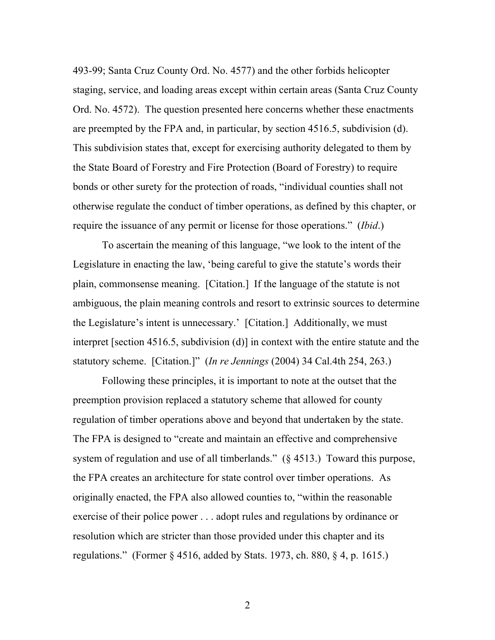493-99; Santa Cruz County Ord. No. 4577) and the other forbids helicopter staging, service, and loading areas except within certain areas (Santa Cruz County Ord. No. 4572). The question presented here concerns whether these enactments are preempted by the FPA and, in particular, by section 4516.5, subdivision (d). This subdivision states that, except for exercising authority delegated to them by the State Board of Forestry and Fire Protection (Board of Forestry) to require bonds or other surety for the protection of roads, "individual counties shall not otherwise regulate the conduct of timber operations, as defined by this chapter, or require the issuance of any permit or license for those operations." (*Ibid*.)

To ascertain the meaning of this language, "we look to the intent of the Legislature in enacting the law, 'being careful to give the statute's words their plain, commonsense meaning. [Citation.] If the language of the statute is not ambiguous, the plain meaning controls and resort to extrinsic sources to determine the Legislature's intent is unnecessary.' [Citation.] Additionally, we must interpret [section 4516.5, subdivision (d)] in context with the entire statute and the statutory scheme. [Citation.]" (*In re Jennings* (2004) 34 Cal.4th 254, 263.)

Following these principles, it is important to note at the outset that the preemption provision replaced a statutory scheme that allowed for county regulation of timber operations above and beyond that undertaken by the state. The FPA is designed to "create and maintain an effective and comprehensive system of regulation and use of all timberlands." (§ 4513.) Toward this purpose, the FPA creates an architecture for state control over timber operations. As originally enacted, the FPA also allowed counties to, "within the reasonable exercise of their police power . . . adopt rules and regulations by ordinance or resolution which are stricter than those provided under this chapter and its regulations." (Former § 4516, added by Stats. 1973, ch. 880, § 4, p. 1615.)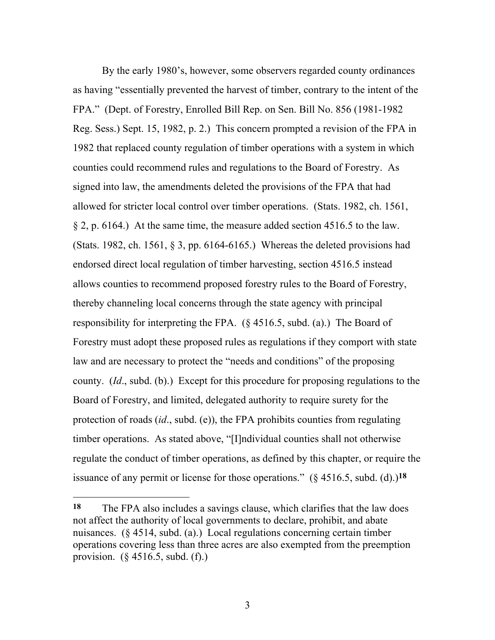By the early 1980's, however, some observers regarded county ordinances as having "essentially prevented the harvest of timber, contrary to the intent of the FPA." (Dept. of Forestry, Enrolled Bill Rep. on Sen. Bill No. 856 (1981-1982 Reg. Sess.) Sept. 15, 1982, p. 2.) This concern prompted a revision of the FPA in 1982 that replaced county regulation of timber operations with a system in which counties could recommend rules and regulations to the Board of Forestry. As signed into law, the amendments deleted the provisions of the FPA that had allowed for stricter local control over timber operations. (Stats. 1982, ch. 1561, § 2, p. 6164.) At the same time, the measure added section 4516.5 to the law. (Stats. 1982, ch. 1561,  $\S 3$ , pp. 6164-6165.) Whereas the deleted provisions had endorsed direct local regulation of timber harvesting, section 4516.5 instead allows counties to recommend proposed forestry rules to the Board of Forestry, thereby channeling local concerns through the state agency with principal responsibility for interpreting the FPA. (§ 4516.5, subd. (a).) The Board of Forestry must adopt these proposed rules as regulations if they comport with state law and are necessary to protect the "needs and conditions" of the proposing county. (*Id*., subd. (b).) Except for this procedure for proposing regulations to the Board of Forestry, and limited, delegated authority to require surety for the protection of roads (*id*., subd. (e)), the FPA prohibits counties from regulating timber operations. As stated above, "[I]ndividual counties shall not otherwise regulate the conduct of timber operations, as defined by this chapter, or require the issuance of any permit or license for those operations." (§ 4516.5, subd. (d).)**18**

**<sup>18</sup>** The FPA also includes a savings clause, which clarifies that the law does not affect the authority of local governments to declare, prohibit, and abate nuisances. (§ 4514, subd. (a).) Local regulations concerning certain timber operations covering less than three acres are also exempted from the preemption provision. (§ 4516.5, subd. (f).)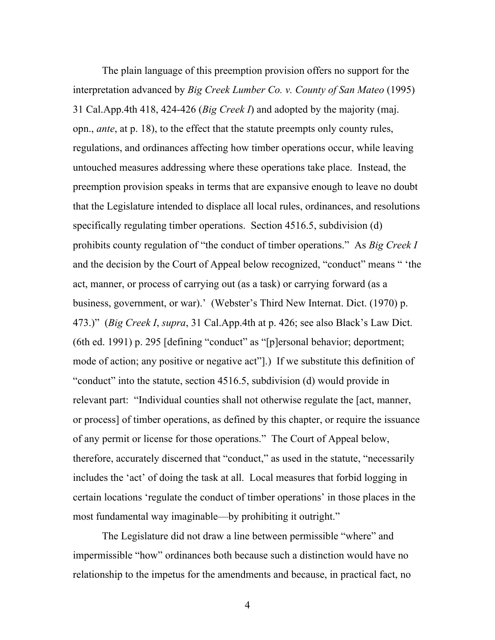The plain language of this preemption provision offers no support for the interpretation advanced by *Big Creek Lumber Co. v. County of San Mateo* (1995) 31 Cal.App.4th 418, 424-426 (*Big Creek I*) and adopted by the majority (maj. opn., *ante*, at p. 18), to the effect that the statute preempts only county rules, regulations, and ordinances affecting how timber operations occur, while leaving untouched measures addressing where these operations take place. Instead, the preemption provision speaks in terms that are expansive enough to leave no doubt that the Legislature intended to displace all local rules, ordinances, and resolutions specifically regulating timber operations. Section 4516.5, subdivision (d) prohibits county regulation of "the conduct of timber operations." As *Big Creek I* and the decision by the Court of Appeal below recognized, "conduct" means " 'the act, manner, or process of carrying out (as a task) or carrying forward (as a business, government, or war).' (Webster's Third New Internat. Dict. (1970) p. 473.)" (*Big Creek I*, *supra*, 31 Cal.App.4th at p. 426; see also Black's Law Dict. (6th ed. 1991) p. 295 [defining "conduct" as "[p]ersonal behavior; deportment; mode of action; any positive or negative act"].) If we substitute this definition of "conduct" into the statute, section 4516.5, subdivision (d) would provide in relevant part: "Individual counties shall not otherwise regulate the [act, manner, or process] of timber operations, as defined by this chapter, or require the issuance of any permit or license for those operations." The Court of Appeal below, therefore, accurately discerned that "conduct," as used in the statute, "necessarily includes the 'act' of doing the task at all. Local measures that forbid logging in certain locations 'regulate the conduct of timber operations' in those places in the most fundamental way imaginable—by prohibiting it outright."

The Legislature did not draw a line between permissible "where" and impermissible "how" ordinances both because such a distinction would have no relationship to the impetus for the amendments and because, in practical fact, no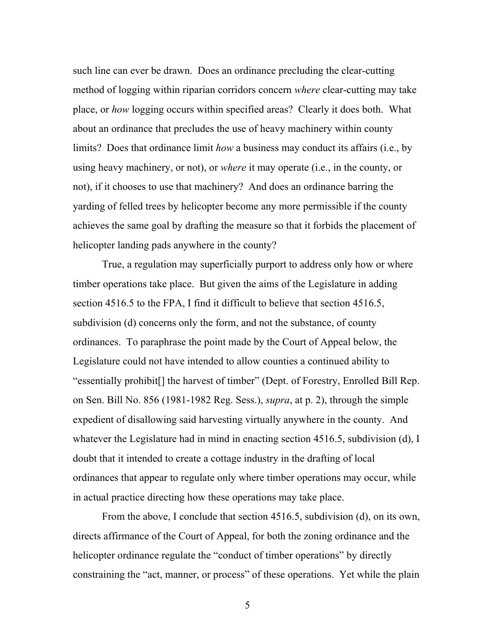such line can ever be drawn. Does an ordinance precluding the clear-cutting method of logging within riparian corridors concern *where* clear-cutting may take place, or *how* logging occurs within specified areas? Clearly it does both. What about an ordinance that precludes the use of heavy machinery within county limits? Does that ordinance limit *how* a business may conduct its affairs (i.e., by using heavy machinery, or not), or *where* it may operate (i.e., in the county, or not), if it chooses to use that machinery? And does an ordinance barring the yarding of felled trees by helicopter become any more permissible if the county achieves the same goal by drafting the measure so that it forbids the placement of helicopter landing pads anywhere in the county?

True, a regulation may superficially purport to address only how or where timber operations take place. But given the aims of the Legislature in adding section 4516.5 to the FPA, I find it difficult to believe that section 4516.5, subdivision (d) concerns only the form, and not the substance, of county ordinances. To paraphrase the point made by the Court of Appeal below, the Legislature could not have intended to allow counties a continued ability to "essentially prohibit[] the harvest of timber" (Dept. of Forestry, Enrolled Bill Rep. on Sen. Bill No. 856 (1981-1982 Reg. Sess.), *supra*, at p. 2), through the simple expedient of disallowing said harvesting virtually anywhere in the county. And whatever the Legislature had in mind in enacting section 4516.5, subdivision (d), I doubt that it intended to create a cottage industry in the drafting of local ordinances that appear to regulate only where timber operations may occur, while in actual practice directing how these operations may take place.

From the above, I conclude that section 4516.5, subdivision (d), on its own, directs affirmance of the Court of Appeal, for both the zoning ordinance and the helicopter ordinance regulate the "conduct of timber operations" by directly constraining the "act, manner, or process" of these operations. Yet while the plain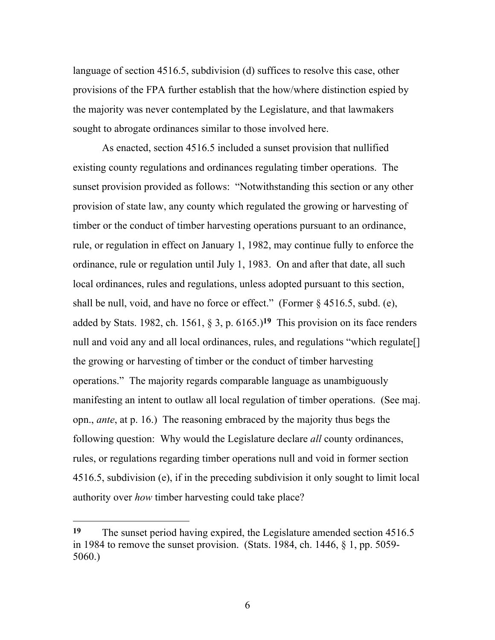language of section 4516.5, subdivision (d) suffices to resolve this case, other provisions of the FPA further establish that the how/where distinction espied by the majority was never contemplated by the Legislature, and that lawmakers sought to abrogate ordinances similar to those involved here.

As enacted, section 4516.5 included a sunset provision that nullified existing county regulations and ordinances regulating timber operations. The sunset provision provided as follows: "Notwithstanding this section or any other provision of state law, any county which regulated the growing or harvesting of timber or the conduct of timber harvesting operations pursuant to an ordinance, rule, or regulation in effect on January 1, 1982, may continue fully to enforce the ordinance, rule or regulation until July 1, 1983. On and after that date, all such local ordinances, rules and regulations, unless adopted pursuant to this section, shall be null, void, and have no force or effect." (Former § 4516.5, subd. (e), added by Stats. 1982, ch. 1561, § 3, p. 6165.)**19** This provision on its face renders null and void any and all local ordinances, rules, and regulations "which regulate<sup>[]</sup> the growing or harvesting of timber or the conduct of timber harvesting operations." The majority regards comparable language as unambiguously manifesting an intent to outlaw all local regulation of timber operations. (See maj. opn., *ante*, at p. 16.) The reasoning embraced by the majority thus begs the following question: Why would the Legislature declare *all* county ordinances, rules, or regulations regarding timber operations null and void in former section 4516.5, subdivision (e), if in the preceding subdivision it only sought to limit local authority over *how* timber harvesting could take place?

l

**<sup>19</sup>** The sunset period having expired, the Legislature amended section 4516.5 in 1984 to remove the sunset provision. (Stats. 1984, ch. 1446, § 1, pp. 5059- 5060.)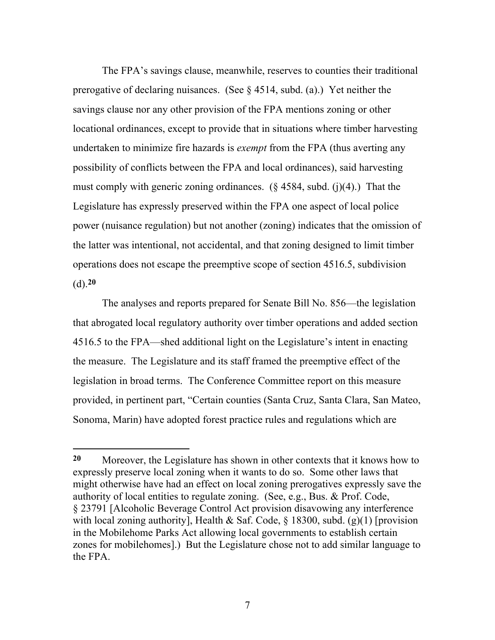The FPA's savings clause, meanwhile, reserves to counties their traditional prerogative of declaring nuisances. (See  $\S$  4514, subd. (a).) Yet neither the savings clause nor any other provision of the FPA mentions zoning or other locational ordinances, except to provide that in situations where timber harvesting undertaken to minimize fire hazards is *exempt* from the FPA (thus averting any possibility of conflicts between the FPA and local ordinances), said harvesting must comply with generic zoning ordinances.  $(\S 4584, \text{subd.} (i)(4))$ . That the Legislature has expressly preserved within the FPA one aspect of local police power (nuisance regulation) but not another (zoning) indicates that the omission of the latter was intentional, not accidental, and that zoning designed to limit timber operations does not escape the preemptive scope of section 4516.5, subdivision (d).**20**

The analyses and reports prepared for Senate Bill No. 856—the legislation that abrogated local regulatory authority over timber operations and added section 4516.5 to the FPA—shed additional light on the Legislature's intent in enacting the measure. The Legislature and its staff framed the preemptive effect of the legislation in broad terms. The Conference Committee report on this measure provided, in pertinent part, "Certain counties (Santa Cruz, Santa Clara, San Mateo, Sonoma, Marin) have adopted forest practice rules and regulations which are

 $\overline{a}$ 

**<sup>20</sup>** Moreover, the Legislature has shown in other contexts that it knows how to expressly preserve local zoning when it wants to do so. Some other laws that might otherwise have had an effect on local zoning prerogatives expressly save the authority of local entities to regulate zoning. (See, e.g., Bus. & Prof. Code, § 23791 [Alcoholic Beverage Control Act provision disavowing any interference with local zoning authority], Health & Saf. Code,  $\S$  18300, subd. (g)(1) [provision in the Mobilehome Parks Act allowing local governments to establish certain zones for mobilehomes].) But the Legislature chose not to add similar language to the FPA.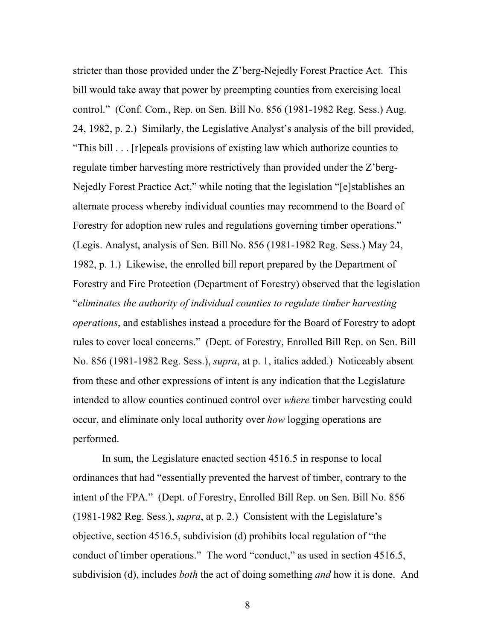stricter than those provided under the Z'berg-Nejedly Forest Practice Act. This bill would take away that power by preempting counties from exercising local control." (Conf. Com., Rep. on Sen. Bill No. 856 (1981-1982 Reg. Sess.) Aug. 24, 1982, p. 2.) Similarly, the Legislative Analyst's analysis of the bill provided, "This bill . . . [r]epeals provisions of existing law which authorize counties to regulate timber harvesting more restrictively than provided under the Z'berg-Nejedly Forest Practice Act," while noting that the legislation "[e]stablishes an alternate process whereby individual counties may recommend to the Board of Forestry for adoption new rules and regulations governing timber operations." (Legis. Analyst, analysis of Sen. Bill No. 856 (1981-1982 Reg. Sess.) May 24, 1982, p. 1.) Likewise, the enrolled bill report prepared by the Department of Forestry and Fire Protection (Department of Forestry) observed that the legislation "*eliminates the authority of individual counties to regulate timber harvesting operations*, and establishes instead a procedure for the Board of Forestry to adopt rules to cover local concerns." (Dept. of Forestry, Enrolled Bill Rep. on Sen. Bill No. 856 (1981-1982 Reg. Sess.), *supra*, at p. 1, italics added.) Noticeably absent from these and other expressions of intent is any indication that the Legislature intended to allow counties continued control over *where* timber harvesting could occur, and eliminate only local authority over *how* logging operations are performed.

In sum, the Legislature enacted section 4516.5 in response to local ordinances that had "essentially prevented the harvest of timber, contrary to the intent of the FPA." (Dept. of Forestry, Enrolled Bill Rep. on Sen. Bill No. 856 (1981-1982 Reg. Sess.), *supra*, at p. 2.) Consistent with the Legislature's objective, section 4516.5, subdivision (d) prohibits local regulation of "the conduct of timber operations." The word "conduct," as used in section 4516.5, subdivision (d), includes *both* the act of doing something *and* how it is done. And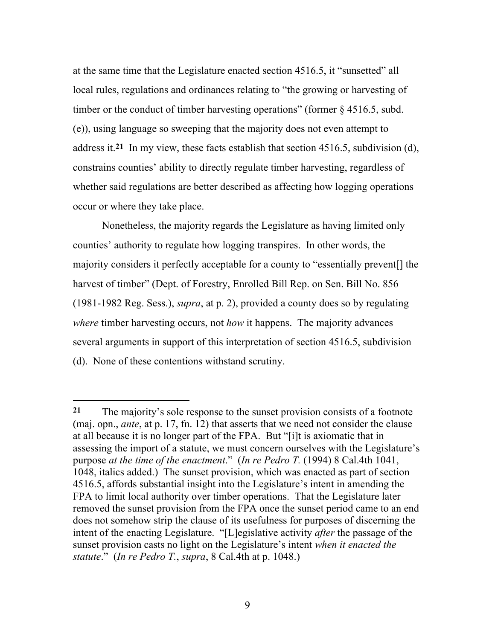at the same time that the Legislature enacted section 4516.5, it "sunsetted" all local rules, regulations and ordinances relating to "the growing or harvesting of timber or the conduct of timber harvesting operations" (former § 4516.5, subd. (e)), using language so sweeping that the majority does not even attempt to address it.**21** In my view, these facts establish that section 4516.5, subdivision (d), constrains counties' ability to directly regulate timber harvesting, regardless of whether said regulations are better described as affecting how logging operations occur or where they take place.

Nonetheless, the majority regards the Legislature as having limited only counties' authority to regulate how logging transpires. In other words, the majority considers it perfectly acceptable for a county to "essentially prevent[] the harvest of timber" (Dept. of Forestry, Enrolled Bill Rep. on Sen. Bill No. 856 (1981-1982 Reg. Sess.), *supra*, at p. 2), provided a county does so by regulating *where* timber harvesting occurs, not *how* it happens. The majority advances several arguments in support of this interpretation of section 4516.5, subdivision (d). None of these contentions withstand scrutiny.

l

**<sup>21</sup>** The majority's sole response to the sunset provision consists of a footnote (maj. opn., *ante*, at p. 17, fn. 12) that asserts that we need not consider the clause at all because it is no longer part of the FPA. But "[i]t is axiomatic that in assessing the import of a statute, we must concern ourselves with the Legislature's purpose *at the time of the enactment*." (*In re Pedro T.* (1994) 8 Cal.4th 1041, 1048, italics added.) The sunset provision, which was enacted as part of section 4516.5, affords substantial insight into the Legislature's intent in amending the FPA to limit local authority over timber operations. That the Legislature later removed the sunset provision from the FPA once the sunset period came to an end does not somehow strip the clause of its usefulness for purposes of discerning the intent of the enacting Legislature. "[L]egislative activity *after* the passage of the sunset provision casts no light on the Legislature's intent *when it enacted the statute*." (*In re Pedro T.*, *supra*, 8 Cal.4th at p. 1048.)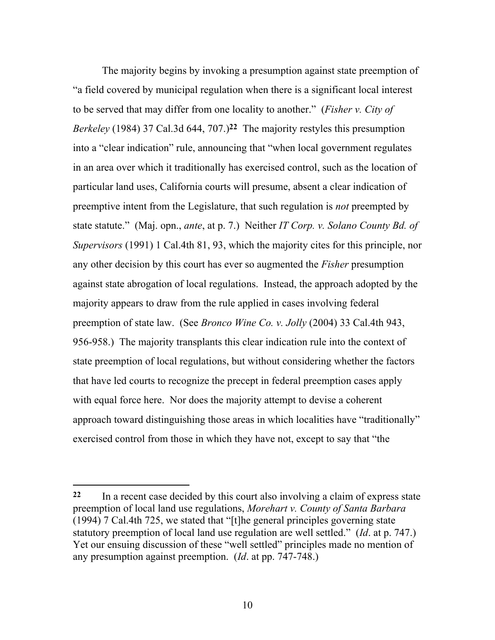The majority begins by invoking a presumption against state preemption of "a field covered by municipal regulation when there is a significant local interest to be served that may differ from one locality to another." (*Fisher v. City of Berkeley* (1984) 37 Cal.3d 644, 707.)**22** The majority restyles this presumption into a "clear indication" rule, announcing that "when local government regulates in an area over which it traditionally has exercised control, such as the location of particular land uses, California courts will presume, absent a clear indication of preemptive intent from the Legislature, that such regulation is *not* preempted by state statute." (Maj. opn., *ante*, at p. 7.) Neither *IT Corp. v. Solano County Bd. of Supervisors* (1991) 1 Cal.4th 81, 93, which the majority cites for this principle, nor any other decision by this court has ever so augmented the *Fisher* presumption against state abrogation of local regulations. Instead, the approach adopted by the majority appears to draw from the rule applied in cases involving federal preemption of state law. (See *Bronco Wine Co. v. Jolly* (2004) 33 Cal.4th 943, 956-958.) The majority transplants this clear indication rule into the context of state preemption of local regulations, but without considering whether the factors that have led courts to recognize the precept in federal preemption cases apply with equal force here. Nor does the majority attempt to devise a coherent approach toward distinguishing those areas in which localities have "traditionally" exercised control from those in which they have not, except to say that "the

l

**<sup>22</sup>** In a recent case decided by this court also involving a claim of express state preemption of local land use regulations, *Morehart v. County of Santa Barbara* (1994) 7 Cal.4th 725, we stated that "[t]he general principles governing state statutory preemption of local land use regulation are well settled." (*Id*. at p. 747.) Yet our ensuing discussion of these "well settled" principles made no mention of any presumption against preemption. (*Id*. at pp. 747-748.)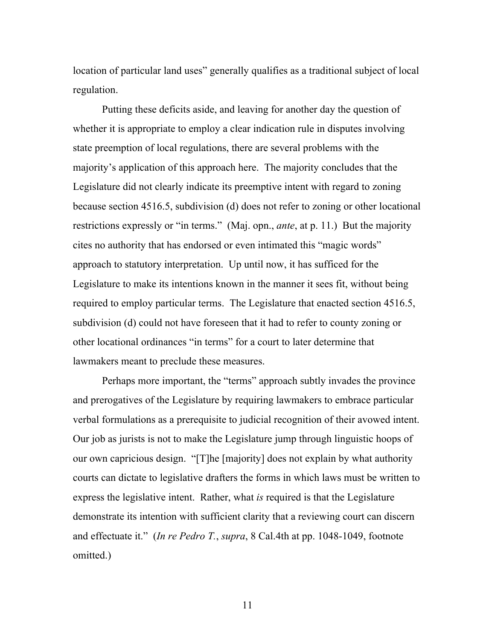location of particular land uses" generally qualifies as a traditional subject of local regulation.

Putting these deficits aside, and leaving for another day the question of whether it is appropriate to employ a clear indication rule in disputes involving state preemption of local regulations, there are several problems with the majority's application of this approach here. The majority concludes that the Legislature did not clearly indicate its preemptive intent with regard to zoning because section 4516.5, subdivision (d) does not refer to zoning or other locational restrictions expressly or "in terms." (Maj. opn., *ante*, at p. 11.) But the majority cites no authority that has endorsed or even intimated this "magic words" approach to statutory interpretation. Up until now, it has sufficed for the Legislature to make its intentions known in the manner it sees fit, without being required to employ particular terms. The Legislature that enacted section 4516.5, subdivision (d) could not have foreseen that it had to refer to county zoning or other locational ordinances "in terms" for a court to later determine that lawmakers meant to preclude these measures.

Perhaps more important, the "terms" approach subtly invades the province and prerogatives of the Legislature by requiring lawmakers to embrace particular verbal formulations as a prerequisite to judicial recognition of their avowed intent. Our job as jurists is not to make the Legislature jump through linguistic hoops of our own capricious design. "[T]he [majority] does not explain by what authority courts can dictate to legislative drafters the forms in which laws must be written to express the legislative intent. Rather, what *is* required is that the Legislature demonstrate its intention with sufficient clarity that a reviewing court can discern and effectuate it." (*In re Pedro T.*, *supra*, 8 Cal.4th at pp. 1048-1049, footnote omitted.)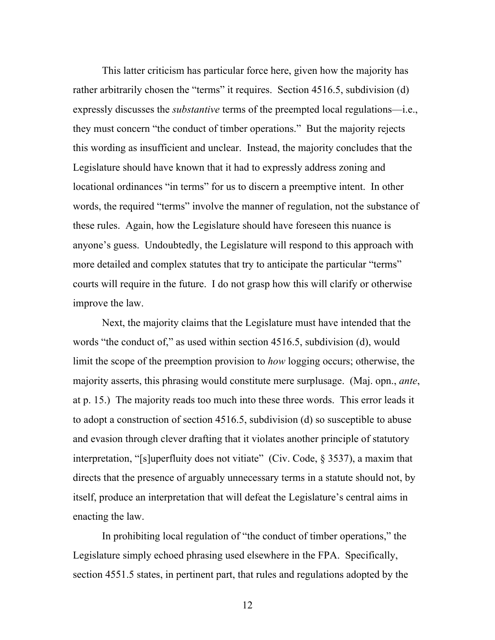This latter criticism has particular force here, given how the majority has rather arbitrarily chosen the "terms" it requires. Section 4516.5, subdivision (d) expressly discusses the *substantive* terms of the preempted local regulations—i.e., they must concern "the conduct of timber operations." But the majority rejects this wording as insufficient and unclear. Instead, the majority concludes that the Legislature should have known that it had to expressly address zoning and locational ordinances "in terms" for us to discern a preemptive intent. In other words, the required "terms" involve the manner of regulation, not the substance of these rules. Again, how the Legislature should have foreseen this nuance is anyone's guess. Undoubtedly, the Legislature will respond to this approach with more detailed and complex statutes that try to anticipate the particular "terms" courts will require in the future. I do not grasp how this will clarify or otherwise improve the law.

Next, the majority claims that the Legislature must have intended that the words "the conduct of," as used within section 4516.5, subdivision (d), would limit the scope of the preemption provision to *how* logging occurs; otherwise, the majority asserts, this phrasing would constitute mere surplusage. (Maj. opn., *ante*, at p. 15.) The majority reads too much into these three words. This error leads it to adopt a construction of section 4516.5, subdivision (d) so susceptible to abuse and evasion through clever drafting that it violates another principle of statutory interpretation, "[s]uperfluity does not vitiate" (Civ. Code,  $\S$  3537), a maxim that directs that the presence of arguably unnecessary terms in a statute should not, by itself, produce an interpretation that will defeat the Legislature's central aims in enacting the law.

In prohibiting local regulation of "the conduct of timber operations," the Legislature simply echoed phrasing used elsewhere in the FPA. Specifically, section 4551.5 states, in pertinent part, that rules and regulations adopted by the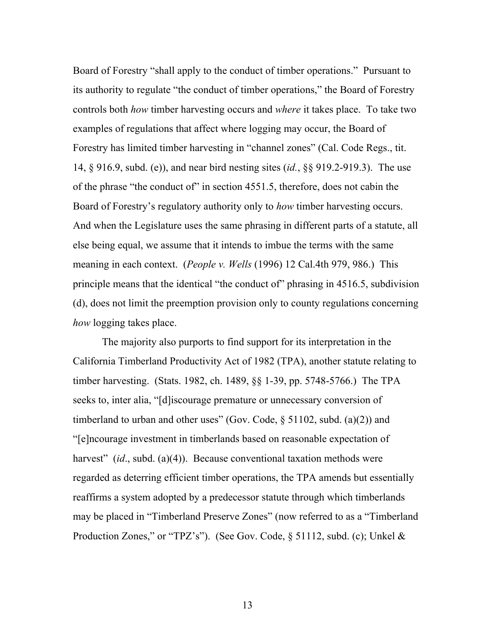Board of Forestry "shall apply to the conduct of timber operations." Pursuant to its authority to regulate "the conduct of timber operations," the Board of Forestry controls both *how* timber harvesting occurs and *where* it takes place. To take two examples of regulations that affect where logging may occur, the Board of Forestry has limited timber harvesting in "channel zones" (Cal. Code Regs., tit. 14, § 916.9, subd. (e)), and near bird nesting sites (*id.*, §§ 919.2-919.3). The use of the phrase "the conduct of" in section 4551.5, therefore, does not cabin the Board of Forestry's regulatory authority only to *how* timber harvesting occurs. And when the Legislature uses the same phrasing in different parts of a statute, all else being equal, we assume that it intends to imbue the terms with the same meaning in each context. (*People v. Wells* (1996) 12 Cal.4th 979, 986.) This principle means that the identical "the conduct of" phrasing in 4516.5, subdivision (d), does not limit the preemption provision only to county regulations concerning *how* logging takes place.

The majority also purports to find support for its interpretation in the California Timberland Productivity Act of 1982 (TPA), another statute relating to timber harvesting. (Stats. 1982, ch. 1489, §§ 1-39, pp. 5748-5766.) The TPA seeks to, inter alia, "[d]iscourage premature or unnecessary conversion of timberland to urban and other uses" (Gov. Code,  $\S$  51102, subd. (a)(2)) and "[e]ncourage investment in timberlands based on reasonable expectation of harvest" *(id., subd. (a)(4)).* Because conventional taxation methods were regarded as deterring efficient timber operations, the TPA amends but essentially reaffirms a system adopted by a predecessor statute through which timberlands may be placed in "Timberland Preserve Zones" (now referred to as a "Timberland Production Zones," or "TPZ's"). (See Gov. Code, § 51112, subd. (c); Unkel &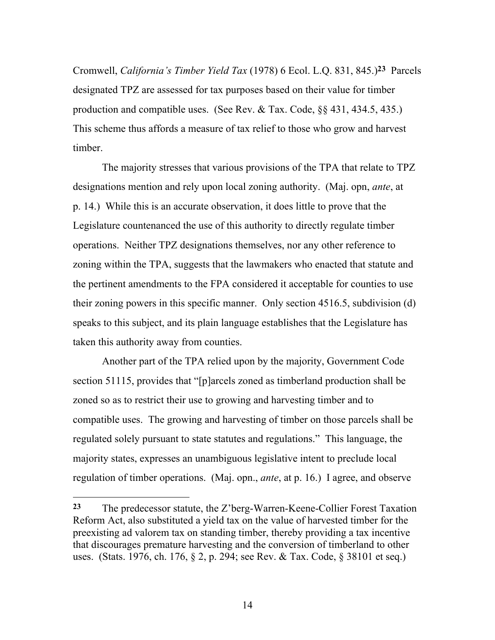Cromwell, *California's Timber Yield Tax* (1978) 6 Ecol. L.Q. 831, 845.)**23** Parcels designated TPZ are assessed for tax purposes based on their value for timber production and compatible uses. (See Rev. & Tax. Code, §§ 431, 434.5, 435.) This scheme thus affords a measure of tax relief to those who grow and harvest timber.

The majority stresses that various provisions of the TPA that relate to TPZ designations mention and rely upon local zoning authority. (Maj. opn, *ante*, at p. 14.) While this is an accurate observation, it does little to prove that the Legislature countenanced the use of this authority to directly regulate timber operations. Neither TPZ designations themselves, nor any other reference to zoning within the TPA, suggests that the lawmakers who enacted that statute and the pertinent amendments to the FPA considered it acceptable for counties to use their zoning powers in this specific manner. Only section 4516.5, subdivision (d) speaks to this subject, and its plain language establishes that the Legislature has taken this authority away from counties.

Another part of the TPA relied upon by the majority, Government Code section 51115, provides that "[p]arcels zoned as timberland production shall be zoned so as to restrict their use to growing and harvesting timber and to compatible uses. The growing and harvesting of timber on those parcels shall be regulated solely pursuant to state statutes and regulations." This language, the majority states, expresses an unambiguous legislative intent to preclude local regulation of timber operations. (Maj. opn., *ante*, at p. 16.) I agree, and observe

**<sup>23</sup>** The predecessor statute, the Z'berg-Warren-Keene-Collier Forest Taxation Reform Act, also substituted a yield tax on the value of harvested timber for the preexisting ad valorem tax on standing timber, thereby providing a tax incentive that discourages premature harvesting and the conversion of timberland to other uses. (Stats. 1976, ch. 176, § 2, p. 294; see Rev. & Tax. Code, § 38101 et seq.)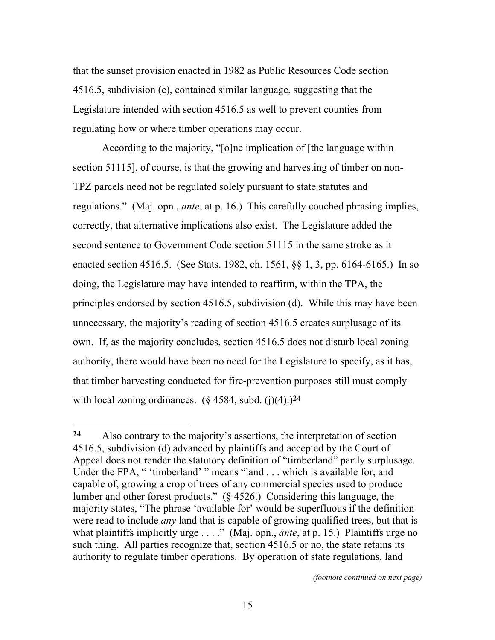that the sunset provision enacted in 1982 as Public Resources Code section 4516.5, subdivision (e), contained similar language, suggesting that the Legislature intended with section 4516.5 as well to prevent counties from regulating how or where timber operations may occur.

According to the majority, "[o]ne implication of [the language within section 51115], of course, is that the growing and harvesting of timber on non-TPZ parcels need not be regulated solely pursuant to state statutes and regulations." (Maj. opn., *ante*, at p. 16.) This carefully couched phrasing implies, correctly, that alternative implications also exist. The Legislature added the second sentence to Government Code section 51115 in the same stroke as it enacted section 4516.5. (See Stats. 1982, ch. 1561, §§ 1, 3, pp. 6164-6165.) In so doing, the Legislature may have intended to reaffirm, within the TPA, the principles endorsed by section 4516.5, subdivision (d). While this may have been unnecessary, the majority's reading of section 4516.5 creates surplusage of its own. If, as the majority concludes, section 4516.5 does not disturb local zoning authority, there would have been no need for the Legislature to specify, as it has, that timber harvesting conducted for fire-prevention purposes still must comply with local zoning ordinances.  $(\xi$  4584, subd.  $(i)(4)$ .)<sup>24</sup>

 $\overline{a}$ 

*(footnote continued on next page)*

**<sup>24</sup>** Also contrary to the majority's assertions, the interpretation of section 4516.5, subdivision (d) advanced by plaintiffs and accepted by the Court of Appeal does not render the statutory definition of "timberland" partly surplusage. Under the FPA, " 'timberland' " means "land . . . which is available for, and capable of, growing a crop of trees of any commercial species used to produce lumber and other forest products." (§ 4526.) Considering this language, the majority states, "The phrase 'available for' would be superfluous if the definition were read to include *any* land that is capable of growing qualified trees, but that is what plaintiffs implicitly urge . . . ." (Maj. opn., *ante*, at p. 15.) Plaintiffs urge no such thing. All parties recognize that, section 4516.5 or no, the state retains its authority to regulate timber operations. By operation of state regulations, land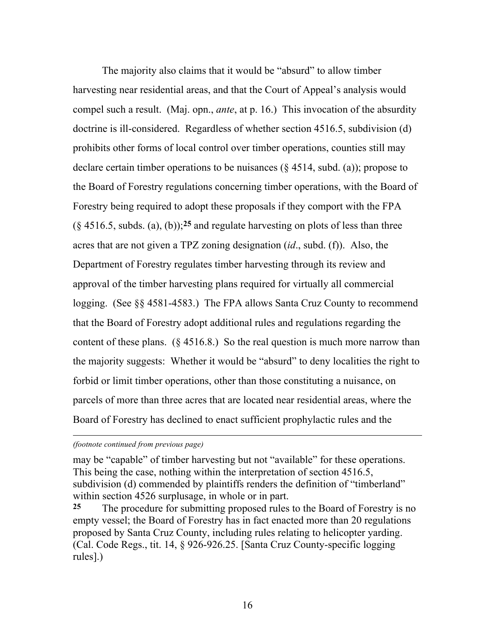The majority also claims that it would be "absurd" to allow timber harvesting near residential areas, and that the Court of Appeal's analysis would compel such a result. (Maj. opn., *ante*, at p. 16.) This invocation of the absurdity doctrine is ill-considered. Regardless of whether section 4516.5, subdivision (d) prohibits other forms of local control over timber operations, counties still may declare certain timber operations to be nuisances  $(\S 4514, \text{subd})$ ; propose to the Board of Forestry regulations concerning timber operations, with the Board of Forestry being required to adopt these proposals if they comport with the FPA (§ 4516.5, subds. (a), (b));**25** and regulate harvesting on plots of less than three acres that are not given a TPZ zoning designation (*id*., subd. (f)). Also, the Department of Forestry regulates timber harvesting through its review and approval of the timber harvesting plans required for virtually all commercial logging. (See §§ 4581-4583.) The FPA allows Santa Cruz County to recommend that the Board of Forestry adopt additional rules and regulations regarding the content of these plans. (§ 4516.8.) So the real question is much more narrow than the majority suggests: Whether it would be "absurd" to deny localities the right to forbid or limit timber operations, other than those constituting a nuisance, on parcels of more than three acres that are located near residential areas, where the Board of Forestry has declined to enact sufficient prophylactic rules and the

*(footnote continued from previous page)*

l

may be "capable" of timber harvesting but not "available" for these operations. This being the case, nothing within the interpretation of section 4516.5, subdivision (d) commended by plaintiffs renders the definition of "timberland" within section 4526 surplusage, in whole or in part.

**25** The procedure for submitting proposed rules to the Board of Forestry is no empty vessel; the Board of Forestry has in fact enacted more than 20 regulations proposed by Santa Cruz County, including rules relating to helicopter yarding. (Cal. Code Regs., tit. 14, § 926-926.25. [Santa Cruz County-specific logging rules].)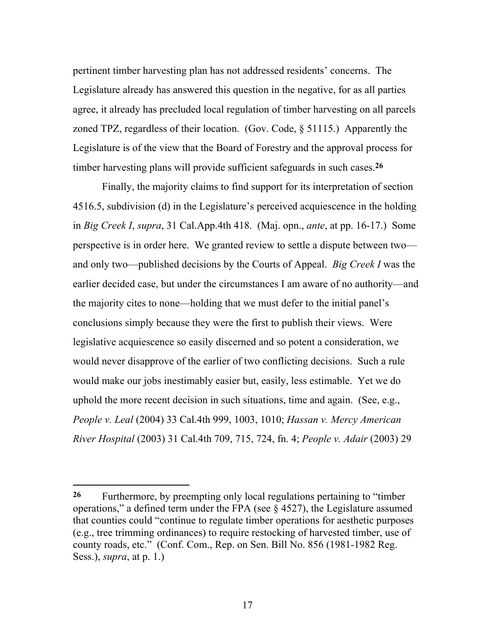pertinent timber harvesting plan has not addressed residents' concerns. The Legislature already has answered this question in the negative, for as all parties agree, it already has precluded local regulation of timber harvesting on all parcels zoned TPZ, regardless of their location. (Gov. Code, § 51115.) Apparently the Legislature is of the view that the Board of Forestry and the approval process for timber harvesting plans will provide sufficient safeguards in such cases.**26**

Finally, the majority claims to find support for its interpretation of section 4516.5, subdivision (d) in the Legislature's perceived acquiescence in the holding in *Big Creek I*, *supra*, 31 Cal.App.4th 418. (Maj. opn., *ante*, at pp. 16-17.) Some perspective is in order here. We granted review to settle a dispute between two and only two—published decisions by the Courts of Appeal. *Big Creek I* was the earlier decided case, but under the circumstances I am aware of no authority—and the majority cites to none—holding that we must defer to the initial panel's conclusions simply because they were the first to publish their views. Were legislative acquiescence so easily discerned and so potent a consideration, we would never disapprove of the earlier of two conflicting decisions. Such a rule would make our jobs inestimably easier but, easily, less estimable. Yet we do uphold the more recent decision in such situations, time and again. (See, e.g., *People v. Leal* (2004) 33 Cal.4th 999, 1003, 1010; *Hassan v. Mercy American River Hospital* (2003) 31 Cal.4th 709, 715, 724, fn. 4; *People v. Adair* (2003) 29

l

**<sup>26</sup>** Furthermore, by preempting only local regulations pertaining to "timber operations," a defined term under the FPA (see § 4527), the Legislature assumed that counties could "continue to regulate timber operations for aesthetic purposes (e.g., tree trimming ordinances) to require restocking of harvested timber, use of county roads, etc." (Conf. Com., Rep. on Sen. Bill No. 856 (1981-1982 Reg. Sess.), *supra*, at p. 1.)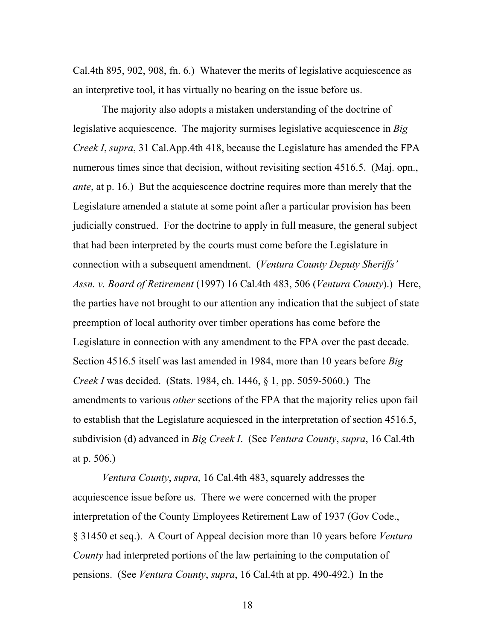Cal.4th 895, 902, 908, fn. 6.) Whatever the merits of legislative acquiescence as an interpretive tool, it has virtually no bearing on the issue before us.

The majority also adopts a mistaken understanding of the doctrine of legislative acquiescence. The majority surmises legislative acquiescence in *Big Creek I*, *supra*, 31 Cal.App.4th 418, because the Legislature has amended the FPA numerous times since that decision, without revisiting section 4516.5. (Maj. opn., *ante*, at p. 16.) But the acquiescence doctrine requires more than merely that the Legislature amended a statute at some point after a particular provision has been judicially construed. For the doctrine to apply in full measure, the general subject that had been interpreted by the courts must come before the Legislature in connection with a subsequent amendment. (*Ventura County Deputy Sheriffs' Assn. v. Board of Retirement* (1997) 16 Cal.4th 483, 506 (*Ventura County*).) Here, the parties have not brought to our attention any indication that the subject of state preemption of local authority over timber operations has come before the Legislature in connection with any amendment to the FPA over the past decade. Section 4516.5 itself was last amended in 1984, more than 10 years before *Big Creek I* was decided. (Stats. 1984, ch. 1446, § 1, pp. 5059-5060.) The amendments to various *other* sections of the FPA that the majority relies upon fail to establish that the Legislature acquiesced in the interpretation of section 4516.5, subdivision (d) advanced in *Big Creek I*. (See *Ventura County*, *supra*, 16 Cal.4th at p. 506.)

*Ventura County*, *supra*, 16 Cal.4th 483, squarely addresses the acquiescence issue before us. There we were concerned with the proper interpretation of the County Employees Retirement Law of 1937 (Gov Code., § 31450 et seq.). A Court of Appeal decision more than 10 years before *Ventura County* had interpreted portions of the law pertaining to the computation of pensions. (See *Ventura County*, *supra*, 16 Cal.4th at pp. 490-492.) In the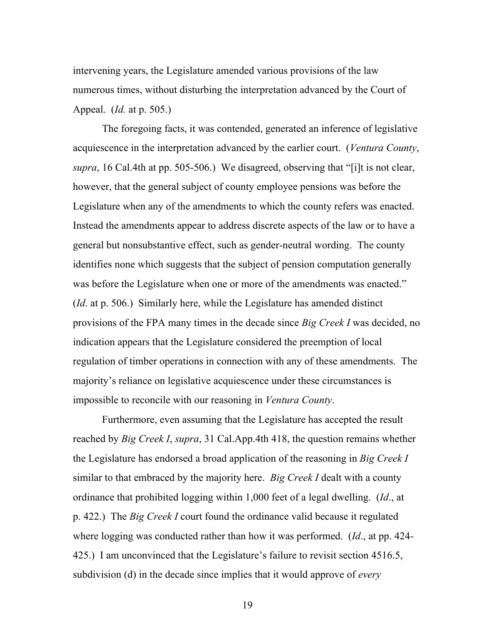intervening years, the Legislature amended various provisions of the law numerous times, without disturbing the interpretation advanced by the Court of Appeal. (*Id.* at p. 505.)

The foregoing facts, it was contended, generated an inference of legislative acquiescence in the interpretation advanced by the earlier court. (*Ventura County*, *supra*, 16 Cal.4th at pp. 505-506.) We disagreed, observing that "[i]t is not clear, however, that the general subject of county employee pensions was before the Legislature when any of the amendments to which the county refers was enacted. Instead the amendments appear to address discrete aspects of the law or to have a general but nonsubstantive effect, such as gender-neutral wording. The county identifies none which suggests that the subject of pension computation generally was before the Legislature when one or more of the amendments was enacted." (*Id*. at p. 506.) Similarly here, while the Legislature has amended distinct provisions of the FPA many times in the decade since *Big Creek I* was decided, no indication appears that the Legislature considered the preemption of local regulation of timber operations in connection with any of these amendments. The majority's reliance on legislative acquiescence under these circumstances is impossible to reconcile with our reasoning in *Ventura County*.

Furthermore, even assuming that the Legislature has accepted the result reached by *Big Creek I*, *supra*, 31 Cal.App.4th 418, the question remains whether the Legislature has endorsed a broad application of the reasoning in *Big Creek I*  similar to that embraced by the majority here. *Big Creek I* dealt with a county ordinance that prohibited logging within 1,000 feet of a legal dwelling. (*Id*., at p. 422.) The *Big Creek I* court found the ordinance valid because it regulated where logging was conducted rather than how it was performed. (*Id*., at pp. 424- 425.) I am unconvinced that the Legislature's failure to revisit section 4516.5, subdivision (d) in the decade since implies that it would approve of *every*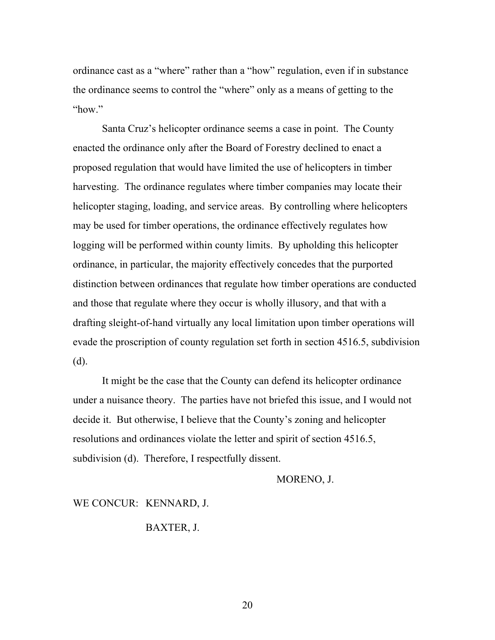ordinance cast as a "where" rather than a "how" regulation, even if in substance the ordinance seems to control the "where" only as a means of getting to the "how."

Santa Cruz's helicopter ordinance seems a case in point. The County enacted the ordinance only after the Board of Forestry declined to enact a proposed regulation that would have limited the use of helicopters in timber harvesting. The ordinance regulates where timber companies may locate their helicopter staging, loading, and service areas. By controlling where helicopters may be used for timber operations, the ordinance effectively regulates how logging will be performed within county limits. By upholding this helicopter ordinance, in particular, the majority effectively concedes that the purported distinction between ordinances that regulate how timber operations are conducted and those that regulate where they occur is wholly illusory, and that with a drafting sleight-of-hand virtually any local limitation upon timber operations will evade the proscription of county regulation set forth in section 4516.5, subdivision (d).

It might be the case that the County can defend its helicopter ordinance under a nuisance theory. The parties have not briefed this issue, and I would not decide it. But otherwise, I believe that the County's zoning and helicopter resolutions and ordinances violate the letter and spirit of section 4516.5, subdivision (d). Therefore, I respectfully dissent.

MORENO, J.

WE CONCUR: KENNARD, J.

#### BAXTER, J.